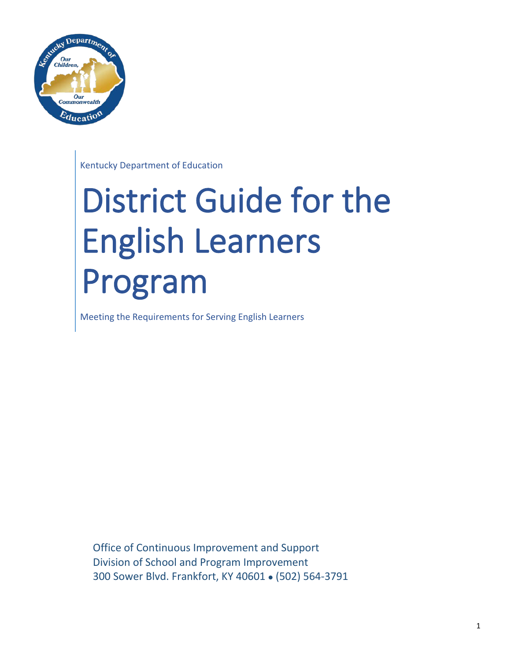

Kentucky Department of Education

# District Guide for the English Learners Program

Meeting the Requirements for Serving English Learners

Office of Continuous Improvement and Support Division of School and Program Improvement 300 Sower Blvd. Frankfort, KY 40601 . (502) 564-3791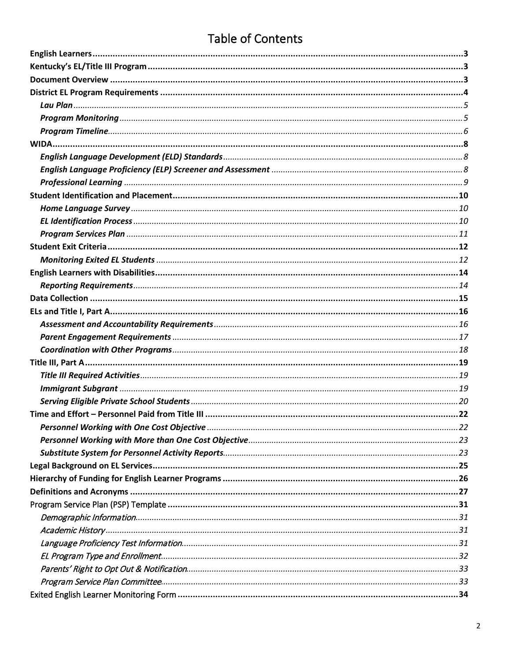# **Table of Contents**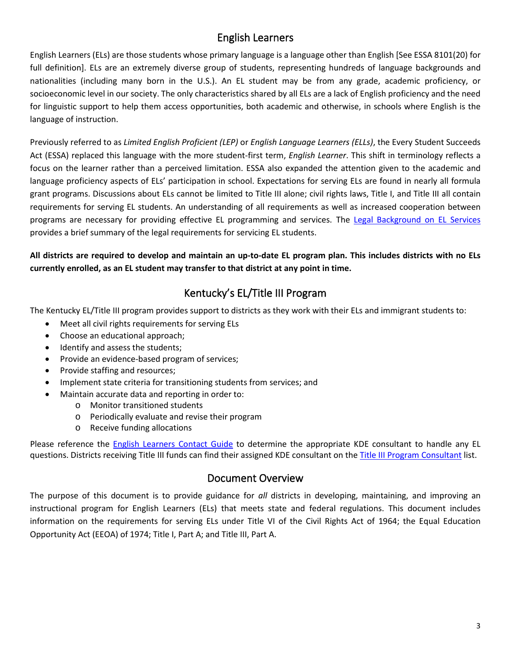# English Learners

<span id="page-2-0"></span>English Learners (ELs) are those students whose primary language is a language other than English [See ESSA 8101(20) for full definition]. ELs are an extremely diverse group of students, representing hundreds of language backgrounds and nationalities (including many born in the U.S.). An EL student may be from any grade, academic proficiency, or socioeconomic level in our society. The only characteristics shared by all ELs are a lack of English proficiency and the need for linguistic support to help them access opportunities, both academic and otherwise, in schools where English is the language of instruction.

Previously referred to as *Limited English Proficient (LEP)* or *English Language Learners (ELLs)*, the Every Student Succeeds Act (ESSA) replaced this language with the more student-first term, *English Learner*. This shift in terminology reflects a focus on the learner rather than a perceived limitation. ESSA also expanded the attention given to the academic and language proficiency aspects of ELs' participation in school. Expectations for serving ELs are found in nearly all formula grant programs. Discussions about ELs cannot be limited to Title III alone; civil rights laws, Title I, and Title III all contain requirements for serving EL students. An understanding of all requirements as well as increased cooperation between programs are necessary for providing effective EL programming and services. The [Legal Background on EL Services](#page-23-0) provides a brief summary of the legal requirements for servicing EL students.

## **All districts are required to develop and maintain an up-to-date EL program plan. This includes districts with no ELs currently enrolled, as an EL student may transfer to that district at any point in time.**

# Kentucky's EL/Title III Program

<span id="page-2-1"></span>The Kentucky EL/Title III program provides support to districts as they work with their ELs and immigrant students to:

- Meet all civil rights requirements for serving ELs
- Choose an educational approach;
- Identify and assess the students;
- Provide an evidence-based program of services;
- Provide staffing and resources;
- Implement state criteria for transitioning students from services; and
- Maintain accurate data and reporting in order to:
	- o Monitor transitioned students
	- o Periodically evaluate and revise their program
	- o Receive funding allocations

Please reference the [English Learners Contact Guide](https://education.ky.gov/federal/progs/eng/Documents/English%20Learners%20Contact%20Guide.pdf) to determine the appropriate KDE consultant to handle any EL questions. Districts receiving Title III funds can find their assigned KDE consultant on the [Title III Program Consultant](https://education.ky.gov/federal/progs/eng/Documents/Title%20III%20Program%20Consultant%20List%20by%20District.pdf) list.

# Document Overview

<span id="page-2-2"></span>The purpose of this document is to provide guidance for *all* districts in developing, maintaining, and improving an instructional program for English Learners (ELs) that meets state and federal regulations. This document includes information on the requirements for serving ELs under Title VI of the Civil Rights Act of 1964; the Equal Education Opportunity Act (EEOA) of 1974; Title I, Part A; and Title III, Part A.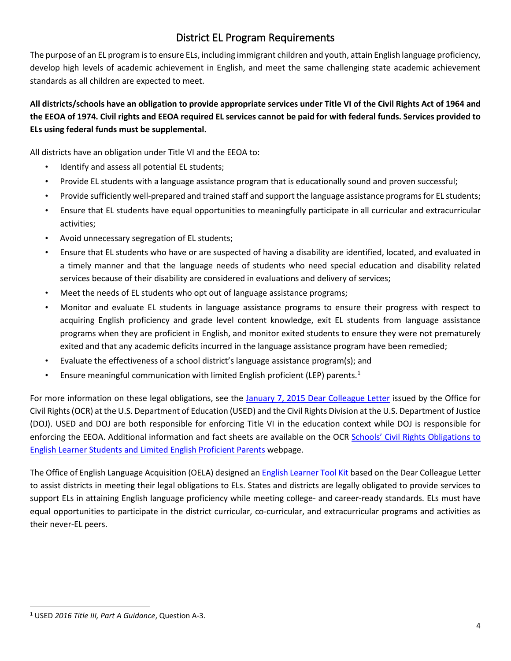# District EL Program Requirements

<span id="page-3-0"></span>The purpose of an EL program is to ensure ELs, including immigrant children and youth, attain English language proficiency, develop high levels of academic achievement in English, and meet the same challenging state academic achievement standards as all children are expected to meet.

# **All districts/schools have an obligation to provide appropriate services under Title VI of the Civil Rights Act of 1964 and the EEOA of 1974. Civil rights and EEOA required EL services cannot be paid for with federal funds. Services provided to ELs using federal funds must be supplemental.**

All districts have an obligation under Title VI and the EEOA to:

- Identify and assess all potential EL students;
- Provide EL students with a language assistance program that is educationally sound and proven successful;
- Provide sufficiently well-prepared and trained staff and support the language assistance programs for EL students;
- Ensure that EL students have equal opportunities to meaningfully participate in all curricular and extracurricular activities;
- Avoid unnecessary segregation of EL students;
- Ensure that EL students who have or are suspected of having a disability are identified, located, and evaluated in a timely manner and that the language needs of students who need special education and disability related services because of their disability are considered in evaluations and delivery of services;
- Meet the needs of EL students who opt out of language assistance programs;
- Monitor and evaluate EL students in language assistance programs to ensure their progress with respect to acquiring English proficiency and grade level content knowledge, exit EL students from language assistance programs when they are proficient in English, and monitor exited students to ensure they were not prematurely exited and that any academic deficits incurred in the language assistance program have been remedied;
- Evaluate the effectiveness of a school district's language assistance program(s); and
- Ensure meaningful communication with limited English proficient (LEP) parents.<sup>[1](#page-3-1)</sup>

For more information on these legal obligations, see the [January 7, 2015 Dear Colleague Letter](https://www2.ed.gov/about/offices/list/ocr/letters/colleague-el-201501.pdf) issued by the Office for Civil Rights (OCR) at the U.S. Department of Education (USED) and the Civil Rights Division at the U.S. Department of Justice (DOJ). USED and DOJ are both responsible for enforcing Title VI in the education context while DOJ is responsible for enforcing the EEOA. Additional information and fact sheets are available on the OCR [Schools' Civil Rights Obligations to](https://www2.ed.gov/about/offices/list/ocr/ellresources.html)  [English Learner Students and Limited English Proficient Parents](https://www2.ed.gov/about/offices/list/ocr/ellresources.html) webpage.

The Office of English Language Acquisition (OELA) designed an **English Learner Tool Kit** based on the Dear Colleague Letter to assist districts in meeting their legal obligations to ELs. States and districts are legally obligated to provide services to support ELs in attaining English language proficiency while meeting college- and career-ready standards. ELs must have equal opportunities to participate in the district curricular, co-curricular, and extracurricular programs and activities as their never-EL peers.

<span id="page-3-1"></span><sup>1</sup> USED *2016 Title III, Part A Guidance*, Question A-3.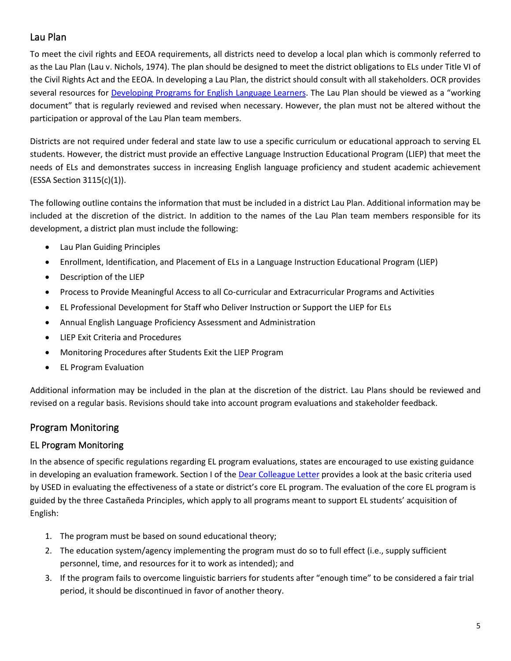# <span id="page-4-0"></span>Lau Plan

To meet the civil rights and EEOA requirements, all districts need to develop a local plan which is commonly referred to as the Lau Plan (Lau v. Nichols, 1974). The plan should be designed to meet the district obligations to ELs under Title VI of the Civil Rights Act and the EEOA. In developing a Lau Plan, the district should consult with all stakeholders. OCR provides several resources for [Developing Programs for English Language Learners.](https://www2.ed.gov/about/offices/list/ocr/ell/planoutline.html) The Lau Plan should be viewed as a "working document" that is regularly reviewed and revised when necessary. However, the plan must not be altered without the participation or approval of the Lau Plan team members.

Districts are not required under federal and state law to use a specific curriculum or educational approach to serving EL students. However, the district must provide an effective Language Instruction Educational Program (LIEP) that meet the needs of ELs and demonstrates success in increasing English language proficiency and student academic achievement (ESSA Section 3115(c)(1)).

The following outline contains the information that must be included in a district Lau Plan. Additional information may be included at the discretion of the district. In addition to the names of the Lau Plan team members responsible for its development, a district plan must include the following:

- Lau Plan Guiding Principles
- Enrollment, Identification, and Placement of ELs in a Language Instruction Educational Program (LIEP)
- Description of the LIEP
- Process to Provide Meaningful Access to all Co-curricular and Extracurricular Programs and Activities
- EL Professional Development for Staff who Deliver Instruction or Support the LIEP for ELs
- Annual English Language Proficiency Assessment and Administration
- LIEP Exit Criteria and Procedures
- Monitoring Procedures after Students Exit the LIEP Program
- EL Program Evaluation

Additional information may be included in the plan at the discretion of the district. Lau Plans should be reviewed and revised on a regular basis. Revisions should take into account program evaluations and stakeholder feedback.

# <span id="page-4-1"></span>Program Monitoring

# EL Program Monitoring

In the absence of specific regulations regarding EL program evaluations, states are encouraged to use existing guidance in developing an evaluation framework. Section I of the Dear [Colleague Letter](https://www2.ed.gov/about/offices/list/ocr/letters/colleague-el-201501.pdf) provides a look at the basic criteria used by USED in evaluating the effectiveness of a state or district's core EL program. The evaluation of the core EL program is guided by the three Castañeda Principles, which apply to all programs meant to support EL students' acquisition of English:

- 1. The program must be based on sound educational theory;
- 2. The education system/agency implementing the program must do so to full effect (i.e., supply sufficient personnel, time, and resources for it to work as intended); and
- 3. If the program fails to overcome linguistic barriers for students after "enough time" to be considered a fair trial period, it should be discontinued in favor of another theory.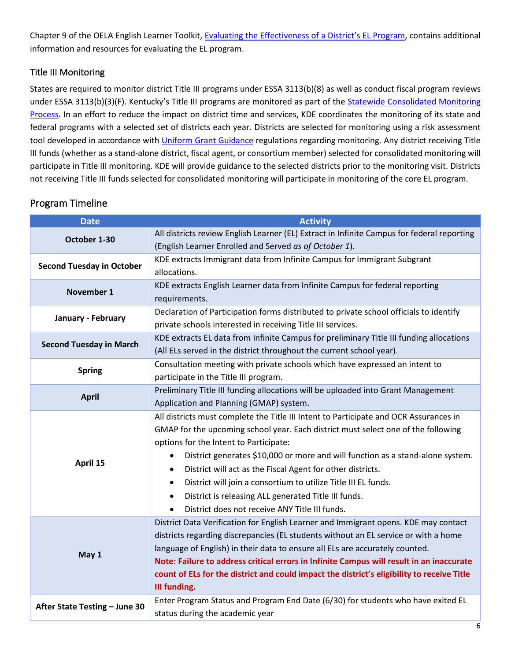Chapter 9 of the OELA English Learner Toolkit, [Evaluating the Effectiveness of a District's EL Program,](https://www2.ed.gov/about/offices/list/oela/english-learner-toolkit/chap9.pdf) contains additional information and resources for evaluating the EL program.

# Title III Monitoring

States are required to monitor district Title III programs under ESSA 3113(b)(8) as well as conduct fiscal program reviews under ESSA 3113(b)(3)(F). Kentucky's Title III programs are monitored as part of the Statewide Consolidated Monitoring [Process.](https://education.ky.gov/federal/progs/scmi/Pages/default.aspx) In an effort to reduce the impact on district time and services, KDE coordinates the monitoring of its state and federal programs with a selected set of districts each year. Districts are selected for monitoring using a risk assessment tool developed in accordance wit[h Uniform Grant Guidance](https://www.ecfr.gov/cgi-bin/text-idx?SID=79d9003c8349b1d60ab06d1d16024444&mc=true&node=sp2.1.200.f&rgn=div6) regulations regarding monitoring. Any district receiving Title III funds (whether as a stand-alone district, fiscal agent, or consortium member) selected for consolidated monitoring will participate in Title III monitoring. KDE will provide guidance to the selected districts prior to the monitoring visit. Districts not receiving Title III funds selected for consolidated monitoring will participate in monitoring of the core EL program.

| <b>Date</b>                      | <b>Activity</b>                                                                             |  |  |  |
|----------------------------------|---------------------------------------------------------------------------------------------|--|--|--|
| October 1-30                     | All districts review English Learner (EL) Extract in Infinite Campus for federal reporting  |  |  |  |
|                                  | (English Learner Enrolled and Served as of October 1).                                      |  |  |  |
| <b>Second Tuesday in October</b> | KDE extracts Immigrant data from Infinite Campus for Immigrant Subgrant                     |  |  |  |
|                                  | allocations.                                                                                |  |  |  |
| November 1                       | KDE extracts English Learner data from Infinite Campus for federal reporting                |  |  |  |
|                                  | requirements.                                                                               |  |  |  |
| January - February               | Declaration of Participation forms distributed to private school officials to identify      |  |  |  |
|                                  | private schools interested in receiving Title III services.                                 |  |  |  |
| <b>Second Tuesday in March</b>   | KDE extracts EL data from Infinite Campus for preliminary Title III funding allocations     |  |  |  |
|                                  | (All ELs served in the district throughout the current school year).                        |  |  |  |
| <b>Spring</b>                    | Consultation meeting with private schools which have expressed an intent to                 |  |  |  |
|                                  | participate in the Title III program.                                                       |  |  |  |
| <b>April</b>                     | Preliminary Title III funding allocations will be uploaded into Grant Management            |  |  |  |
|                                  | Application and Planning (GMAP) system.                                                     |  |  |  |
|                                  | All districts must complete the Title III Intent to Participate and OCR Assurances in       |  |  |  |
|                                  | GMAP for the upcoming school year. Each district must select one of the following           |  |  |  |
|                                  | options for the Intent to Participate:                                                      |  |  |  |
| April 15                         | District generates \$10,000 or more and will function as a stand-alone system.<br>$\bullet$ |  |  |  |
|                                  | District will act as the Fiscal Agent for other districts.<br>$\bullet$                     |  |  |  |
|                                  | District will join a consortium to utilize Title III EL funds.<br>$\bullet$                 |  |  |  |
|                                  | District is releasing ALL generated Title III funds.<br>$\bullet$                           |  |  |  |
|                                  | District does not receive ANY Title III funds.                                              |  |  |  |
|                                  | District Data Verification for English Learner and Immigrant opens. KDE may contact         |  |  |  |
|                                  | districts regarding discrepancies (EL students without an EL service or with a home         |  |  |  |
| May 1                            | language of English) in their data to ensure all ELs are accurately counted.                |  |  |  |
|                                  | Note: Failure to address critical errors in Infinite Campus will result in an inaccurate    |  |  |  |
|                                  | count of ELs for the district and could impact the district's eligibility to receive Title  |  |  |  |
|                                  | III funding.                                                                                |  |  |  |
|                                  | Enter Program Status and Program End Date (6/30) for students who have exited EL            |  |  |  |
| After State Testing - June 30    | status during the academic year                                                             |  |  |  |

# <span id="page-5-0"></span>Program Timeline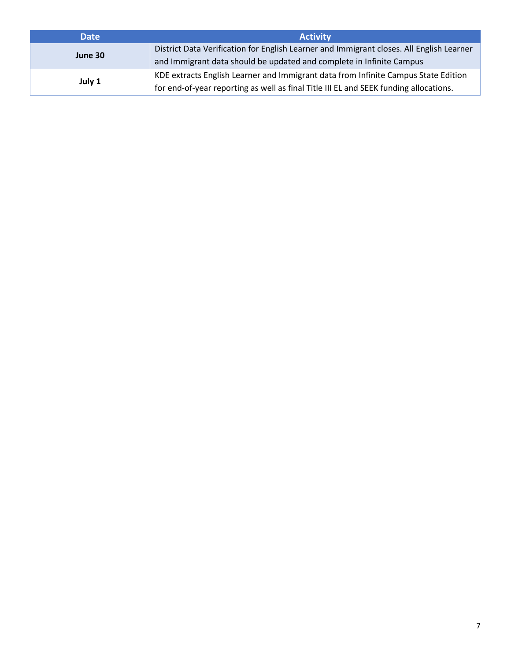| <b>Date</b> | <b>Activity</b>                                                                          |
|-------------|------------------------------------------------------------------------------------------|
| June 30     | District Data Verification for English Learner and Immigrant closes. All English Learner |
|             | and Immigrant data should be updated and complete in Infinite Campus                     |
|             | KDE extracts English Learner and Immigrant data from Infinite Campus State Edition       |
| July 1      | for end-of-year reporting as well as final Title III EL and SEEK funding allocations.    |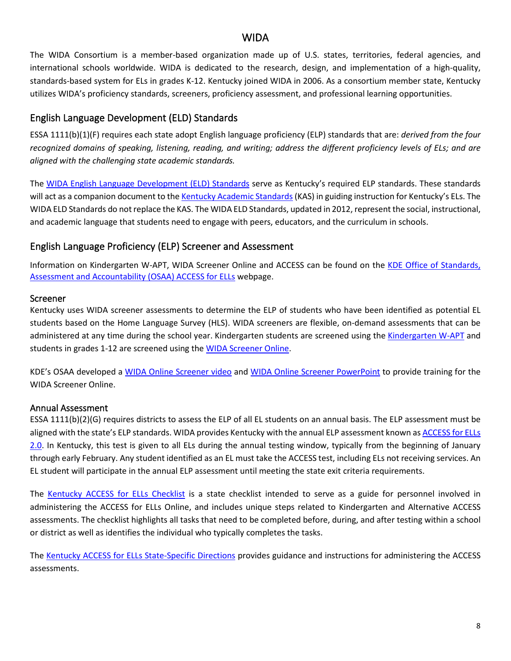## WIDA

<span id="page-7-0"></span>The WIDA Consortium is a member-based organization made up of U.S. states, territories, federal agencies, and international schools worldwide. WIDA is dedicated to the research, design, and implementation of a high-quality, standards-based system for ELs in grades K-12. Kentucky joined WIDA in 2006. As a consortium member state, Kentucky utilizes WIDA's proficiency standards, screeners, proficiency assessment, and professional learning opportunities.

## <span id="page-7-1"></span>English Language Development (ELD) Standards

ESSA 1111(b)(1)(F) requires each state adopt English language proficiency (ELP) standards that are: *derived from the four recognized domains of speaking, listening, reading, and writing; address the different proficiency levels of ELs; and are aligned with the challenging state academic standards.*

The [WIDA English Language Development \(ELD\) Standards](https://wida.wisc.edu/teach/standards/eld) serve as Kentucky's required ELP standards. These standards will act as a companion document to th[e Kentucky Academic Standards](https://education.ky.gov/curriculum/standards/kyacadstand/Pages/default.aspx) (KAS) in guiding instruction for Kentucky's ELs. The WIDA ELD Standards do not replace the KAS. The WIDA ELD Standards, updated in 2012, represent the social, instructional, and academic language that students need to engage with peers, educators, and the curriculum in schools.

## <span id="page-7-2"></span>English Language Proficiency (ELP) Screener and Assessment

Information on Kindergarten W-APT, WIDA Screener Online and ACCESS can be found on the KDE Office of Standards, [Assessment and Accountability \(OSAA\) ACCESS for ELLs](https://education.ky.gov/AA/Assessments/Pages/EL-Testing.aspx) webpage.

#### Screener

Kentucky uses WIDA screener assessments to determine the ELP of students who have been identified as potential EL students based on the Home Language Survey (HLS). WIDA screeners are flexible, on-demand assessments that can be administered at any time during the school year. Kindergarten students are screened using the [Kindergarten W-APT](https://wida.wisc.edu/assess/kwapt) and students in grades 1-12 are screened using the [WIDA Screener Online.](https://wida.wisc.edu/assess/screener)

KDE's OSAA developed a [WIDA Online Screener video](http://mediaportal.education.ky.gov/featured/2017/05/new-wida-online-screener/) and [WIDA Online Screener PowerPoint](http://education.ky.gov/AA/Assessments/Documents/WIDA%20Online%20Screener.pptx) to provide training for the WIDA Screener Online.

#### Annual Assessment

ESSA 1111(b)(2)(G) requires districts to assess the ELP of all EL students on an annual basis. The ELP assessment must be aligned with the state's ELP standards. WIDA provides Kentucky with the annual ELP assessment known a[s ACCESS for ELLs](https://wida.wisc.edu/assess/access)  [2.0.](https://wida.wisc.edu/assess/access) In Kentucky, this test is given to all ELs during the annual testing window, typically from the beginning of January through early February. Any student identified as an EL must take the ACCESS test, including ELs not receiving services. An EL student will participate in the annual ELP assessment until meeting the state exit criteria requirements.

The [Kentucky ACCESS for ELLs Checklist](https://wida.wisc.edu/sites/default/files/checklists/KY-online-checklist.pdf) is a state checklist intended to serve as a guide for personnel involved in administering the ACCESS for ELLs Online, and includes unique steps related to Kindergarten and Alternative ACCESS assessments. The checklist highlights all tasks that need to be completed before, during, and after testing within a school or district as well as identifies the individual who typically completes the tasks.

The [Kentucky ACCESS for ELLs State-Specific Directions](https://wida.wisc.edu/sites/default/files/state-specific-directions/KY-State-Specific-Directions.pdf) provides guidance and instructions for administering the ACCESS assessments.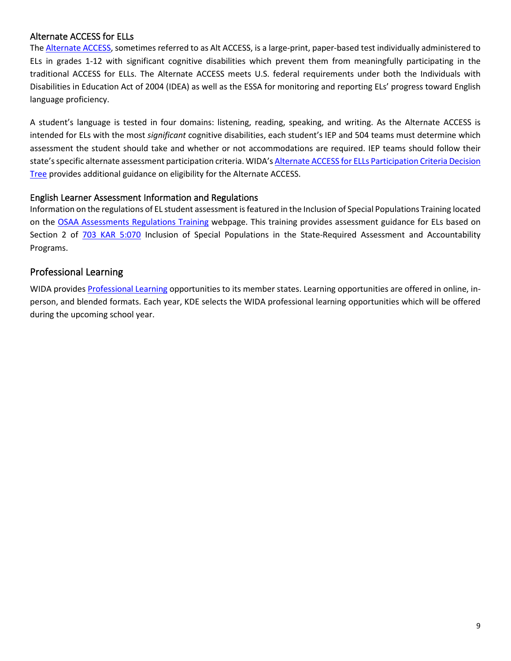#### Alternate ACCESS for ELLs

The [Alternate ACCESS,](https://wida.wisc.edu/assess/alt-access) sometimes referred to as Alt ACCESS, is a large-print, paper-based test individually administered to ELs in grades 1-12 with significant cognitive disabilities which prevent them from meaningfully participating in the traditional ACCESS for ELLs. The Alternate ACCESS meets U.S. federal requirements under both the Individuals with Disabilities in Education Act of 2004 (IDEA) as well as the ESSA for monitoring and reporting ELs' progress toward English language proficiency.

A student's language is tested in four domains: listening, reading, speaking, and writing. As the Alternate ACCESS is intended for ELs with the most *significant* cognitive disabilities, each student's IEP and 504 teams must determine which assessment the student should take and whether or not accommodations are required. IEP teams should follow their state's specific alternate assessment participation criteria. WIDA'[s Alternate ACCESS for ELLs Participation Criteria Decision](https://wida.wisc.edu/sites/default/files/resource/Alt-Access-Participation-Criteria-Diagram.pdf)  [Tree](https://wida.wisc.edu/sites/default/files/resource/Alt-Access-Participation-Criteria-Diagram.pdf) provides additional guidance on eligibility for the Alternate ACCESS.

#### English Learner Assessment Information and Regulations

Information on the regulations of EL student assessment is featured in the Inclusion of Special Populations Training located on the [OSAA Assessments Regulations Training](https://education.ky.gov/AA/distsupp/Pages/AdminCode.aspx) webpage. This training provides assessment guidance for ELs based on Section 2 of [703 KAR 5:070](https://apps.legislature.ky.gov/law/kar/703/005/070.pdf) Inclusion of Special Populations in the State-Required Assessment and Accountability Programs.

## <span id="page-8-0"></span>Professional Learning

WIDA provides [Professional Learning](https://wida.wisc.edu/grow) opportunities to its member states. Learning opportunities are offered in online, inperson, and blended formats. Each year, KDE selects the WIDA professional learning opportunities which will be offered during the upcoming school year.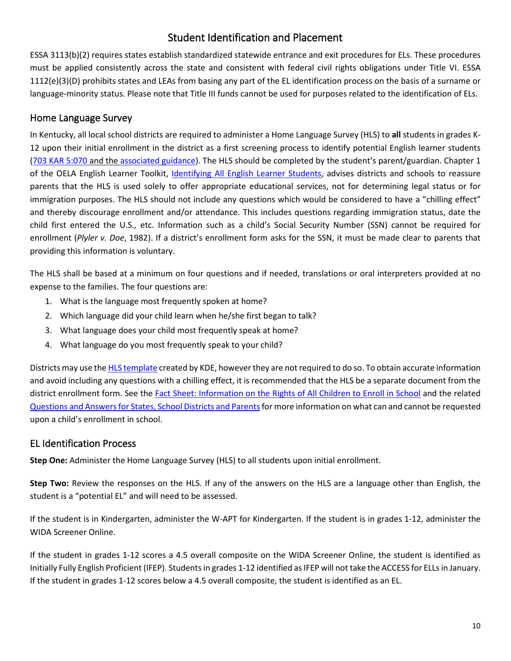# Student Identification and Placement

<span id="page-9-0"></span>ESSA 3113(b)(2) requires states establish standardized statewide entrance and exit procedures for ELs. These procedures must be applied consistently across the state and consistent with federal civil rights obligations under Title VI. ESSA 1112(e)(3)(D) prohibits states and LEAs from basing any part of the EL identification process on the basis of a surname or language-minority status. Please note that Title III funds cannot be used for purposes related to the identification of ELs.

## <span id="page-9-1"></span>Home Language Survey

In Kentucky, all local school districts are required to administer a Home Language Survey (HLS) to **all** students in grades K-12 upon their initial enrollment in the district as a first screening process to identify potential English learner students [\(703 KAR 5:070](https://apps.legislature.ky.gov/law/kar/703/005/070.pdf) and the [associated guidance\)](https://education.ky.gov/AA/distsupp/Documents/703%20KAR%205070%20Dec%202016.pdf). The HLS should be completed by the student's parent/guardian. Chapter 1 of the OELA English Learner Toolkit, [Identifying All English Learner Students,](https://www2.ed.gov/about/offices/list/oela/english-learner-toolkit/chap1.pdf) advises districts and schools to reassure parents that the HLS is used solely to offer appropriate educational services, not for determining legal status or for immigration purposes. The HLS should not include any questions which would be considered to have a "chilling effect" and thereby discourage enrollment and/or attendance. This includes questions regarding immigration status, date the child first entered the U.S., etc. Information such as a child's Social Security Number (SSN) cannot be required for enrollment (*Plyler v. Doe*, 1982). If a district's enrollment form asks for the SSN, it must be made clear to parents that providing this information is voluntary.

The HLS shall be based at a minimum on four questions and if needed, translations or oral interpreters provided at no expense to the families. The four questions are:

- 1. What is the language most frequently spoken at home?
- 2. Which language did your child learn when he/she first began to talk?
- 3. What language does your child most frequently speak at home?
- 4. What language do you most frequently speak to your child?

Districts may use th[e HLS template](https://education.ky.gov/federal/progs/eng/Documents/Home%20Language%20Survey%20Template.pdf) created by KDE, however they are not required to do so. To obtain accurate information and avoid including any questions with a chilling effect, it is recommended that the HLS be a separate document from the district enrollment form. See th[e Fact Sheet: Information on the Rights of All Children to Enroll in School](https://www2.ed.gov/about/offices/list/ocr/docs/dcl-factsheet-201405.pdf) and the related Questions and Answers for States, School Districts and Parents for more information on what can and cannot be requested upon a child's enrollment in school.

#### <span id="page-9-2"></span>EL Identification Process

**Step One:** Administer the Home Language Survey (HLS) to all students upon initial enrollment.

**Step Two:** Review the responses on the HLS. If any of the answers on the HLS are a language other than English, the student is a "potential EL" and will need to be assessed.

If the student is in Kindergarten, administer the W-APT for Kindergarten. If the student is in grades 1-12, administer the WIDA Screener Online.

If the student in grades 1-12 scores a 4.5 overall composite on the WIDA Screener Online, the student is identified as Initially Fully English Proficient (IFEP). Students in grades 1-12 identified as IFEP will not take the ACCESS for ELLs in January. If the student in grades 1-12 scores below a 4.5 overall composite, the student is identified as an EL.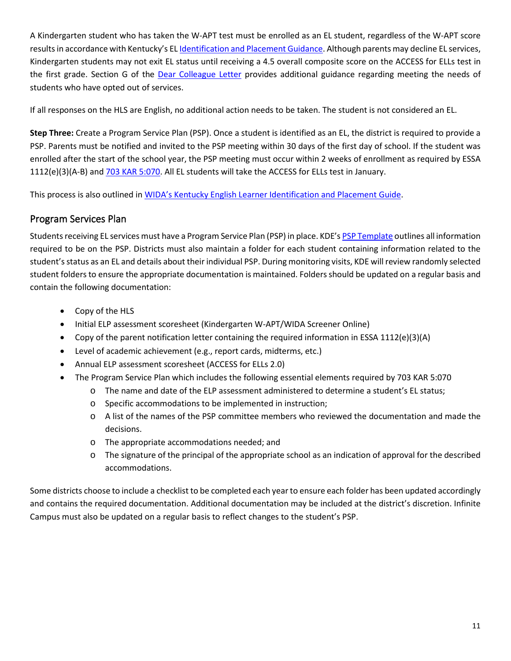A Kindergarten student who has taken the W-APT test must be enrolled as an EL student, regardless of the W-APT score results in accordance with Kentucky's E[L Identification and Placement Guidance.](https://wida.wisc.edu/sites/default/files/id-placement/KY-ID-Placement-Guidance.pdf) Although parents may decline EL services, Kindergarten students may not exit EL status until receiving a 4.5 overall composite score on the ACCESS for ELLs test in the first grade. Section G of the [Dear Colleague Letter](https://www2.ed.gov/about/offices/list/ocr/letters/colleague-el-201501.pdf) provides additional guidance regarding meeting the needs of students who have opted out of services.

If all responses on the HLS are English, no additional action needs to be taken. The student is not considered an EL.

**Step Three:** Create a Program Service Plan (PSP). Once a student is identified as an EL, the district is required to provide a PSP. Parents must be notified and invited to the PSP meeting within 30 days of the first day of school. If the student was enrolled after the start of the school year, the PSP meeting must occur within 2 weeks of enrollment as required by ESSA 1112(e)(3)(A-B) and [703 KAR 5:070.](https://apps.legislature.ky.gov/law/kar/703/005/070.pdf) All EL students will take the ACCESS for ELLs test in January.

This process is also outlined in [WIDA's Kentucky English Learner Identification and Placement Guide.](https://wida.wisc.edu/sites/default/files/id-placement/KY-ID-Placement-Guidance.pdf)

# <span id="page-10-0"></span>Program Services Plan

Students receiving EL services must have a Program Service Plan (PSP) in place. KDE'[s PSP Template](#page-30-0) outlines all information required to be on the PSP. Districts must also maintain a folder for each student containing information related to the student's status as an EL and details about their individual PSP. During monitoring visits, KDE will review randomly selected student folders to ensure the appropriate documentation is maintained. Folders should be updated on a regular basis and contain the following documentation:

- Copy of the HLS
- Initial ELP assessment scoresheet (Kindergarten W-APT/WIDA Screener Online)
- Copy of the parent notification letter containing the required information in ESSA 1112(e)(3)(A)
- Level of academic achievement (e.g., report cards, midterms, etc.)
- Annual ELP assessment scoresheet (ACCESS for ELLs 2.0)
- The Program Service Plan which includes the following essential elements required by 703 KAR 5:070
	- o The name and date of the ELP assessment administered to determine a student's EL status;
	- o Specific accommodations to be implemented in instruction;
	- o A list of the names of the PSP committee members who reviewed the documentation and made the decisions.
	- o The appropriate accommodations needed; and
	- $\circ$  The signature of the principal of the appropriate school as an indication of approval for the described accommodations.

Some districts choose to include a checklist to be completed each year to ensure each folder has been updated accordingly and contains the required documentation. Additional documentation may be included at the district's discretion. Infinite Campus must also be updated on a regular basis to reflect changes to the student's PSP.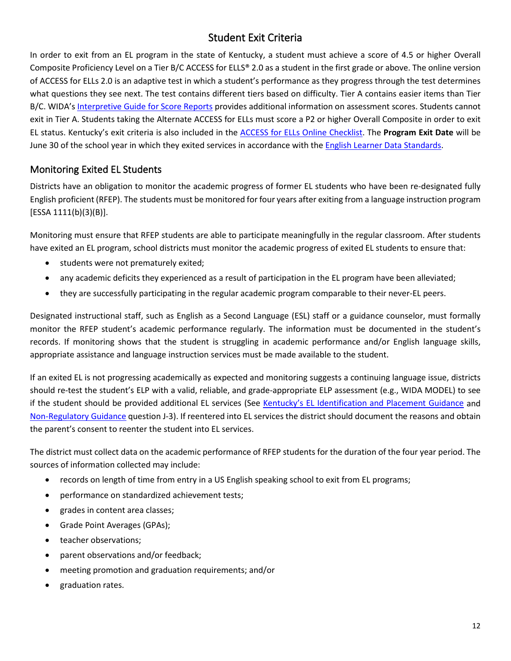# Student Exit Criteria

<span id="page-11-0"></span>In order to exit from an EL program in the state of Kentucky, a student must achieve a score of 4.5 or higher Overall Composite Proficiency Level on a Tier B/C ACCESS for ELLS® 2.0 as a student in the first grade or above. The online version of ACCESS for ELLs 2.0 is an adaptive test in which a student's performance as they progress through the test determines what questions they see next. The test contains different tiers based on difficulty. Tier A contains easier items than Tier B/C. WIDA'[s Interpretive Guide for Score Reports](https://wida.wisc.edu/sites/default/files/resource/Interpretive-Guide.pdf) provides additional information on assessment scores. Students cannot exit in Tier A. Students taking the Alternate ACCESS for ELLs must score a P2 or higher Overall Composite in order to exit EL status. Kentucky's exit criteria is also included in the [ACCESS for ELLs Online Checklist.](https://wida.wisc.edu/sites/default/files/checklists/KY-online-checklist.pdf) The **Program Exit Date** will be June 30 of the school year in which they exited services in accordance with the [English Learner Data Standards.](https://education.ky.gov/districts/tech/sis/Documents/Standard-LEP.pdf)

# <span id="page-11-1"></span>Monitoring Exited EL Students

Districts have an obligation to monitor the academic progress of former EL students who have been re-designated fully English proficient (RFEP). The students must be monitored for four years after exiting from a language instruction program [ESSA 1111(b)(3)(B)].

Monitoring must ensure that RFEP students are able to participate meaningfully in the regular classroom. After students have exited an EL program, school districts must monitor the academic progress of exited EL students to ensure that:

- students were not prematurely exited;
- any academic deficits they experienced as a result of participation in the EL program have been alleviated;
- they are successfully participating in the regular academic program comparable to their never-EL peers.

Designated instructional staff, such as English as a Second Language (ESL) staff or a guidance counselor, must formally monitor the RFEP student's academic performance regularly. The information must be documented in the student's records. If monitoring shows that the student is struggling in academic performance and/or English language skills, appropriate assistance and language instruction services must be made available to the student.

If an exited EL is not progressing academically as expected and monitoring suggests a continuing language issue, districts should re-test the student's ELP with a valid, reliable, and grade-appropriate ELP assessment (e.g., WIDA MODEL) to see if the student should be provided additional EL services (See [Kentucky's EL Identification and Placement Guidance](https://wida.wisc.edu/sites/default/files/id-placement/KY-ID-Placement-Guidance.pdf) and [Non-Regulatory Guidance](https://www2.ed.gov/policy/elsec/leg/essa/essatitleiiiguidenglishlearners92016.pdf) question J-3). If reentered into EL services the district should document the reasons and obtain the parent's consent to reenter the student into EL services.

The district must collect data on the academic performance of RFEP students for the duration of the four year period. The sources of information collected may include:

- records on length of time from entry in a US English speaking school to exit from EL programs;
- performance on standardized achievement tests;
- grades in content area classes;
- Grade Point Averages (GPAs);
- teacher observations;
- parent observations and/or feedback;
- meeting promotion and graduation requirements; and/or
- graduation rates.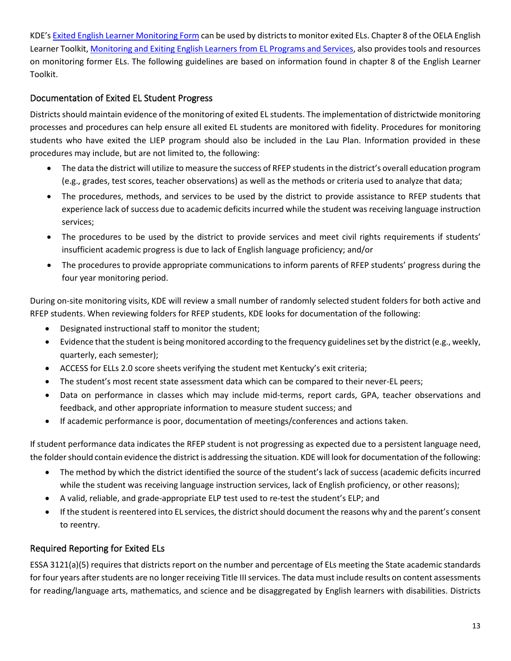KDE'[s Exited English Learner Monitoring Form](#page-33-0) can be used by districts to monitor exited ELs. Chapter 8 of the OELA English Learner Toolkit[, Monitoring and Exiting English Learners](https://www2.ed.gov/about/offices/list/oela/english-learner-toolkit/chap8.pdf) from EL Programs and Services, also provides tools and resources on monitoring former ELs. The following guidelines are based on information found in chapter 8 of the English Learner Toolkit.

#### Documentation of Exited EL Student Progress

Districts should maintain evidence of the monitoring of exited EL students. The implementation of districtwide monitoring processes and procedures can help ensure all exited EL students are monitored with fidelity. Procedures for monitoring students who have exited the LIEP program should also be included in the Lau Plan. Information provided in these procedures may include, but are not limited to, the following:

- The data the district will utilize to measure the success of RFEP students in the district's overall education program (e.g., grades, test scores, teacher observations) as well as the methods or criteria used to analyze that data;
- The procedures, methods, and services to be used by the district to provide assistance to RFEP students that experience lack of success due to academic deficits incurred while the student was receiving language instruction services;
- The procedures to be used by the district to provide services and meet civil rights requirements if students' insufficient academic progress is due to lack of English language proficiency; and/or
- The procedures to provide appropriate communications to inform parents of RFEP students' progress during the four year monitoring period.

During on-site monitoring visits, KDE will review a small number of randomly selected student folders for both active and RFEP students. When reviewing folders for RFEP students, KDE looks for documentation of the following:

- Designated instructional staff to monitor the student;
- Evidence that the student is being monitored according to the frequency guidelines set by the district (e.g., weekly, quarterly, each semester);
- ACCESS for ELLs 2.0 score sheets verifying the student met Kentucky's exit criteria;
- The student's most recent state assessment data which can be compared to their never-EL peers;
- Data on performance in classes which may include mid-terms, report cards, GPA, teacher observations and feedback, and other appropriate information to measure student success; and
- If academic performance is poor, documentation of meetings/conferences and actions taken.

If student performance data indicates the RFEP student is not progressing as expected due to a persistent language need, the folder should contain evidence the district is addressing the situation. KDE will look for documentation of the following:

- The method by which the district identified the source of the student's lack of success (academic deficits incurred while the student was receiving language instruction services, lack of English proficiency, or other reasons);
- A valid, reliable, and grade-appropriate ELP test used to re-test the student's ELP; and
- If the student is reentered into EL services, the district should document the reasons why and the parent's consent to reentry.

# Required Reporting for Exited ELs

ESSA 3121(a)(5) requires that districts report on the number and percentage of ELs meeting the State academic standards for four years after students are no longer receiving Title III services. The data must include results on content assessments for reading/language arts, mathematics, and science and be disaggregated by English learners with disabilities. Districts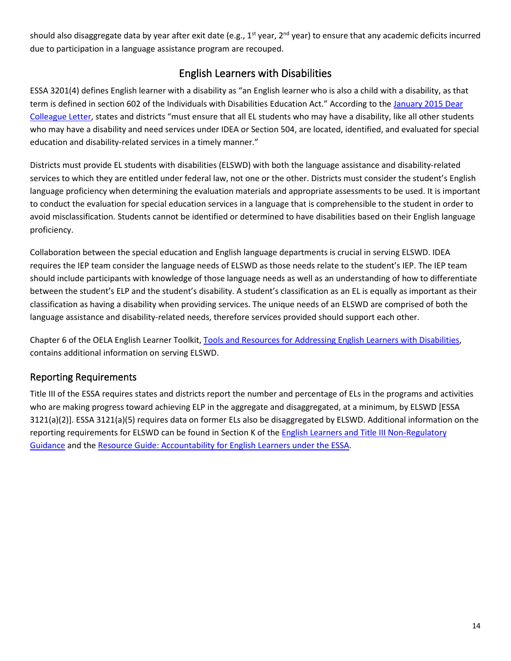should also disaggregate data by year after exit date (e.g.,  $1^{st}$  year,  $2^{nd}$  year) to ensure that any academic deficits incurred due to participation in a language assistance program are recouped.

# English Learners with Disabilities

<span id="page-13-0"></span>ESSA 3201(4) defines English learner with a disability as "an English learner who is also a child with a disability, as that term is defined in section 602 of the Individuals with Disabilities Education Act." According to the January 2015 Dear [Colleague Letter,](https://www2.ed.gov/about/offices/list/ocr/letters/colleague-el-201501.pdf) states and districts "must ensure that all EL students who may have a disability, like all other students who may have a disability and need services under IDEA or Section 504, are located, identified, and evaluated for special education and disability-related services in a timely manner."

Districts must provide EL students with disabilities (ELSWD) with both the language assistance and disability-related services to which they are entitled under federal law, not one or the other. Districts must consider the student's English language proficiency when determining the evaluation materials and appropriate assessments to be used. It is important to conduct the evaluation for special education services in a language that is comprehensible to the student in order to avoid misclassification. Students cannot be identified or determined to have disabilities based on their English language proficiency.

Collaboration between the special education and English language departments is crucial in serving ELSWD. IDEA requires the IEP team consider the language needs of ELSWD as those needs relate to the student's IEP. The IEP team should include participants with knowledge of those language needs as well as an understanding of how to differentiate between the student's ELP and the student's disability. A student's classification as an EL is equally as important as their classification as having a disability when providing services. The unique needs of an ELSWD are comprised of both the language assistance and disability-related needs, therefore services provided should support each other.

Chapter 6 of the OELA English Learner Toolkit, [Tools and Resources for Addressing English Learners with Disabilities,](https://www2.ed.gov/about/offices/list/oela/english-learner-toolkit/chap6.pdf) contains additional information on serving ELSWD.

# <span id="page-13-1"></span>Reporting Requirements

Title III of the ESSA requires states and districts report the number and percentage of ELs in the programs and activities who are making progress toward achieving ELP in the aggregate and disaggregated, at a minimum, by ELSWD [ESSA 3121(a)(2)]. ESSA 3121(a)(5) requires data on former ELs also be disaggregated by ELSWD. Additional information on the reporting requirements for ELSWD can be found in Section K of th[e English Learners and Title III Non-Regulatory](https://www2.ed.gov/policy/elsec/leg/essa/essatitleiiiguidenglishlearners92016.pdf)  [Guidance](https://www2.ed.gov/policy/elsec/leg/essa/essatitleiiiguidenglishlearners92016.pdf) and th[e Resource Guide: Accountability for English Learners under the ESSA.](https://www2.ed.gov/programs/sfgp/eseatitleiiiresourceaccountelsguide.pdf)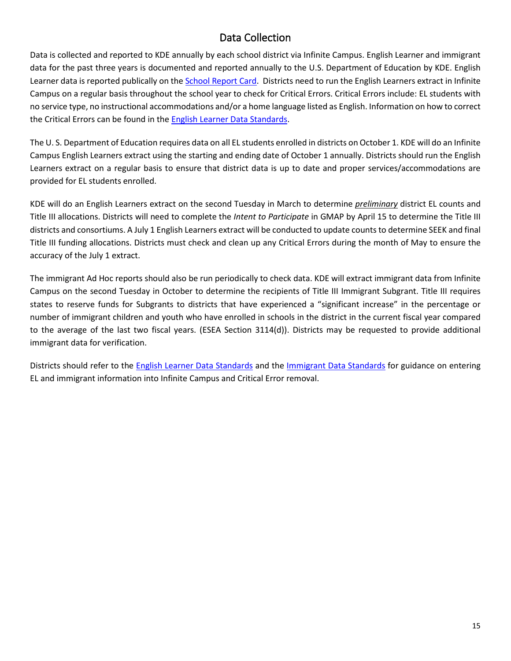# Data Collection

<span id="page-14-0"></span>Data is collected and reported to KDE annually by each school district via Infinite Campus. English Learner and immigrant data for the past three years is documented and reported annually to the U.S. Department of Education by KDE. English Learner data is reported publically on the [School Report Card.](https://openhouse.education.ky.gov/src) Districts need to run the English Learners extract in Infinite Campus on a regular basis throughout the school year to check for Critical Errors. Critical Errors include: EL students with no service type, no instructional accommodations and/or a home language listed as English. Information on how to correct the Critical Errors can be found in the [English Learner Data Standards.](https://education.ky.gov/districts/tech/sis/Documents/Standard-LEP.pdf)

The U. S. Department of Education requires data on all EL students enrolled in districts on October 1. KDE will do an Infinite Campus English Learners extract using the starting and ending date of October 1 annually. Districts should run the English Learners extract on a regular basis to ensure that district data is up to date and proper services/accommodations are provided for EL students enrolled.

KDE will do an English Learners extract on the second Tuesday in March to determine *preliminary* district EL counts and Title III allocations. Districts will need to complete the *Intent to Participate* in GMAP by April 15 to determine the Title III districts and consortiums. A July 1 English Learners extract will be conducted to update counts to determine SEEK and final Title III funding allocations. Districts must check and clean up any Critical Errors during the month of May to ensure the accuracy of the July 1 extract.

The immigrant Ad Hoc reports should also be run periodically to check data. KDE will extract immigrant data from Infinite Campus on the second Tuesday in October to determine the recipients of Title III Immigrant Subgrant. Title III requires states to reserve funds for Subgrants to districts that have experienced a "significant increase" in the percentage or number of immigrant children and youth who have enrolled in schools in the district in the current fiscal year compared to the average of the last two fiscal years. (ESEA Section 3114(d)). Districts may be requested to provide additional immigrant data for verification.

Districts should refer to the [English Learner Data Standards](http://education.ky.gov/districts/tech/sis/pages/ksis-data-standards.aspx) and the [Immigrant Data Standards](https://education.ky.gov/districts/tech/sis/Documents/DataStandardImmigrant.pdf) for guidance on entering EL and immigrant information into Infinite Campus and Critical Error removal.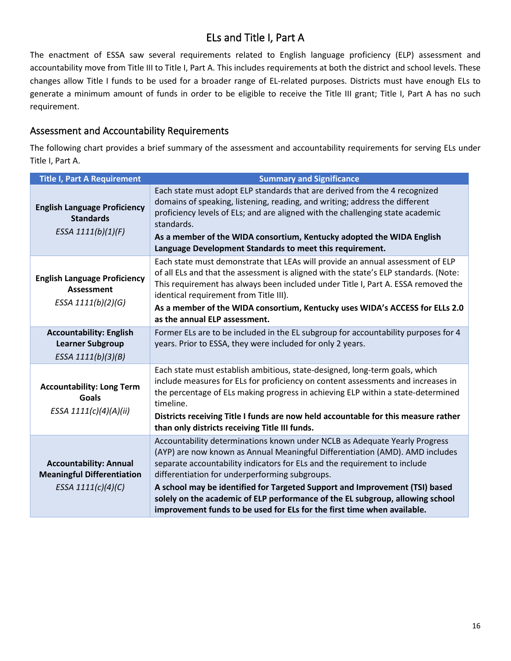# ELs and Title I, Part A

<span id="page-15-0"></span>The enactment of ESSA saw several requirements related to English language proficiency (ELP) assessment and accountability move from Title III to Title I, Part A. This includes requirements at both the district and school levels. These changes allow Title I funds to be used for a broader range of EL-related purposes. Districts must have enough ELs to generate a minimum amount of funds in order to be eligible to receive the Title III grant; Title I, Part A has no such requirement.

## <span id="page-15-1"></span>Assessment and Accountability Requirements

The following chart provides a brief summary of the assessment and accountability requirements for serving ELs under Title I, Part A.

| <b>Title I, Part A Requirement</b>                                                       | <b>Summary and Significance</b>                                                                                                                                                                                                                                                                                                                                                                                                                                                                                                      |
|------------------------------------------------------------------------------------------|--------------------------------------------------------------------------------------------------------------------------------------------------------------------------------------------------------------------------------------------------------------------------------------------------------------------------------------------------------------------------------------------------------------------------------------------------------------------------------------------------------------------------------------|
| <b>English Language Proficiency</b><br><b>Standards</b><br>ESSA 1111(b)(1)(F)            | Each state must adopt ELP standards that are derived from the 4 recognized<br>domains of speaking, listening, reading, and writing; address the different<br>proficiency levels of ELs; and are aligned with the challenging state academic<br>standards.<br>As a member of the WIDA consortium, Kentucky adopted the WIDA English<br>Language Development Standards to meet this requirement.                                                                                                                                       |
| <b>English Language Proficiency</b><br><b>Assessment</b><br>ESSA 1111(b)(2)(G)           | Each state must demonstrate that LEAs will provide an annual assessment of ELP<br>of all ELs and that the assessment is aligned with the state's ELP standards. (Note:<br>This requirement has always been included under Title I, Part A. ESSA removed the<br>identical requirement from Title III).<br>As a member of the WIDA consortium, Kentucky uses WIDA's ACCESS for ELLs 2.0<br>as the annual ELP assessment.                                                                                                               |
| <b>Accountability: English</b><br><b>Learner Subgroup</b><br>ESSA 1111(b)(3)(B)          | Former ELs are to be included in the EL subgroup for accountability purposes for 4<br>years. Prior to ESSA, they were included for only 2 years.                                                                                                                                                                                                                                                                                                                                                                                     |
| <b>Accountability: Long Term</b><br>Goals<br>ESSA 1111(c)(4)(A)(ii)                      | Each state must establish ambitious, state-designed, long-term goals, which<br>include measures for ELs for proficiency on content assessments and increases in<br>the percentage of ELs making progress in achieving ELP within a state-determined<br>timeline.<br>Districts receiving Title I funds are now held accountable for this measure rather<br>than only districts receiving Title III funds.                                                                                                                             |
| <b>Accountability: Annual</b><br><b>Meaningful Differentiation</b><br>ESSA 1111(c)(4)(C) | Accountability determinations known under NCLB as Adequate Yearly Progress<br>(AYP) are now known as Annual Meaningful Differentiation (AMD). AMD includes<br>separate accountability indicators for ELs and the requirement to include<br>differentiation for underperforming subgroups.<br>A school may be identified for Targeted Support and Improvement (TSI) based<br>solely on the academic of ELP performance of the EL subgroup, allowing school<br>improvement funds to be used for ELs for the first time when available. |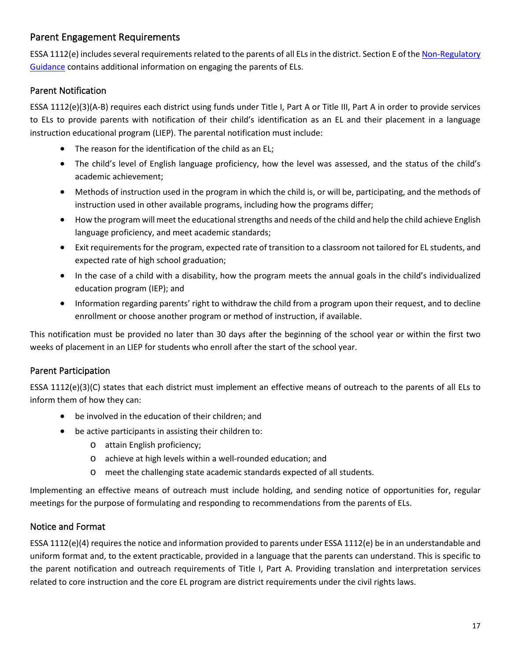# <span id="page-16-0"></span>Parent Engagement Requirements

ESSA 1112(e) includes several requirements related to the parents of all ELs in the district. Section E of the Non-Regulatory [Guidance](https://www2.ed.gov/policy/elsec/leg/essa/essatitleiiiguidenglishlearners92016.pdf) contains additional information on engaging the parents of ELs.

## Parent Notification

ESSA 1112(e)(3)(A-B) requires each district using funds under Title I, Part A or Title III, Part A in order to provide services to ELs to provide parents with notification of their child's identification as an EL and their placement in a language instruction educational program (LIEP). The parental notification must include:

- The reason for the identification of the child as an EL;
- The child's level of English language proficiency, how the level was assessed, and the status of the child's academic achievement;
- Methods of instruction used in the program in which the child is, or will be, participating, and the methods of instruction used in other available programs, including how the programs differ;
- How the program will meet the educational strengths and needs of the child and help the child achieve English language proficiency, and meet academic standards;
- Exit requirements for the program, expected rate of transition to a classroom not tailored for EL students, and expected rate of high school graduation;
- In the case of a child with a disability, how the program meets the annual goals in the child's individualized education program (IEP); and
- Information regarding parents' right to withdraw the child from a program upon their request, and to decline enrollment or choose another program or method of instruction, if available.

This notification must be provided no later than 30 days after the beginning of the school year or within the first two weeks of placement in an LIEP for students who enroll after the start of the school year.

# Parent Participation

ESSA 1112(e)(3)(C) states that each district must implement an effective means of outreach to the parents of all ELs to inform them of how they can:

- be involved in the education of their children; and
- be active participants in assisting their children to:
	- o attain English proficiency;
	- o achieve at high levels within a well-rounded education; and
	- o meet the challenging state academic standards expected of all students.

Implementing an effective means of outreach must include holding, and sending notice of opportunities for, regular meetings for the purpose of formulating and responding to recommendations from the parents of ELs.

#### Notice and Format

ESSA 1112(e)(4) requires the notice and information provided to parents under ESSA 1112(e) be in an understandable and uniform format and, to the extent practicable, provided in a language that the parents can understand. This is specific to the parent notification and outreach requirements of Title I, Part A. Providing translation and interpretation services related to core instruction and the core EL program are district requirements under the civil rights laws.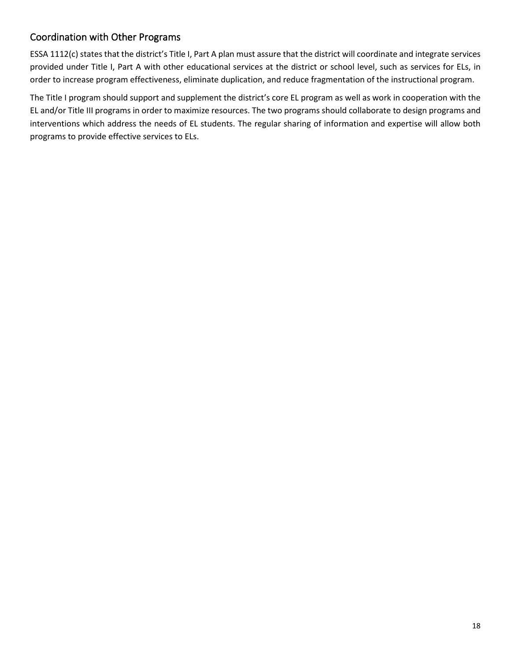# <span id="page-17-0"></span>Coordination with Other Programs

ESSA 1112(c) states that the district's Title I, Part A plan must assure that the district will coordinate and integrate services provided under Title I, Part A with other educational services at the district or school level, such as services for ELs, in order to increase program effectiveness, eliminate duplication, and reduce fragmentation of the instructional program.

The Title I program should support and supplement the district's core EL program as well as work in cooperation with the EL and/or Title III programs in order to maximize resources. The two programs should collaborate to design programs and interventions which address the needs of EL students. The regular sharing of information and expertise will allow both programs to provide effective services to ELs.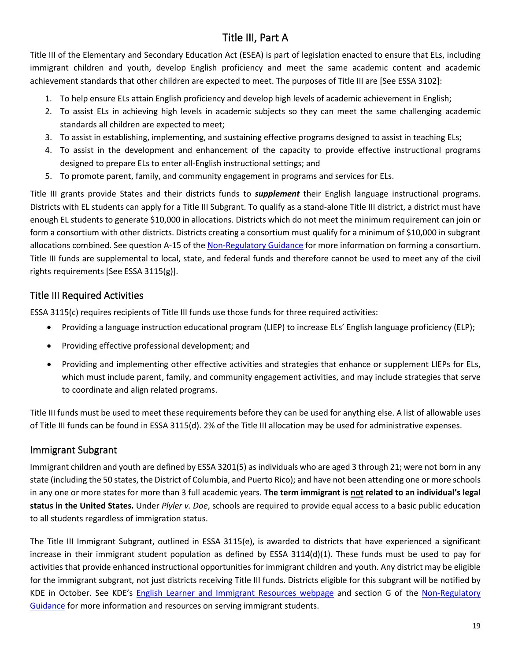# Title III, Part A

<span id="page-18-0"></span>Title III of the Elementary and Secondary Education Act (ESEA) is part of legislation enacted to ensure that ELs, including immigrant children and youth, develop English proficiency and meet the same academic content and academic achievement standards that other children are expected to meet. The purposes of Title III are [See ESSA 3102]:

- 1. To help ensure ELs attain English proficiency and develop high levels of academic achievement in English;
- 2. To assist ELs in achieving high levels in academic subjects so they can meet the same challenging academic standards all children are expected to meet;
- 3. To assist in establishing, implementing, and sustaining effective programs designed to assist in teaching ELs;
- 4. To assist in the development and enhancement of the capacity to provide effective instructional programs designed to prepare ELs to enter all-English instructional settings; and
- 5. To promote parent, family, and community engagement in programs and services for ELs.

Title III grants provide States and their districts funds to *supplement* their English language instructional programs. Districts with EL students can apply for a Title III Subgrant. To qualify as a stand-alone Title III district, a district must have enough EL students to generate \$10,000 in allocations. Districts which do not meet the minimum requirement can join or form a consortium with other districts. Districts creating a consortium must qualify for a minimum of \$10,000 in subgrant allocations combined. See question A-15 of th[e Non-Regulatory Guidance](https://www2.ed.gov/policy/elsec/leg/essa/essatitleiiiguidenglishlearners92016.pdf) for more information on forming a consortium. Title III funds are supplemental to local, state, and federal funds and therefore cannot be used to meet any of the civil rights requirements [See ESSA 3115(g)].

# <span id="page-18-1"></span>Title III Required Activities

ESSA 3115(c) requires recipients of Title III funds use those funds for three required activities:

- Providing a language instruction educational program (LIEP) to increase ELs' English language proficiency (ELP);
- Providing effective professional development; and
- Providing and implementing other effective activities and strategies that enhance or supplement LIEPs for ELs, which must include parent, family, and community engagement activities, and may include strategies that serve to coordinate and align related programs.

Title III funds must be used to meet these requirements before they can be used for anything else. A list of allowable uses of Title III funds can be found in ESSA 3115(d). 2% of the Title III allocation may be used for administrative expenses.

# <span id="page-18-2"></span>Immigrant Subgrant

Immigrant children and youth are defined by ESSA 3201(5) as individuals who are aged 3 through 21; were not born in any state (including the 50 states, the District of Columbia, and Puerto Rico); and have not been attending one or more schools in any one or more states for more than 3 full academic years. **The term immigrant is not related to an individual's legal status in the United States.** Under *Plyler v. Doe*, schools are required to provide equal access to a basic public education to all students regardless of immigration status.

The Title III Immigrant Subgrant, outlined in ESSA 3115(e), is awarded to districts that have experienced a significant increase in their immigrant student population as defined by ESSA 3114(d)(1). These funds must be used to pay for activities that provide enhanced instructional opportunities for immigrant children and youth. Any district may be eligible for the immigrant subgrant, not just districts receiving Title III funds. Districts eligible for this subgrant will be notified by KDE in October. See KDE's [English Learner and Immigrant Resources webpage](https://education.ky.gov/federal/progs/eng/Pages/English-Learner-and-Immigrant-Resources.aspx) and section G of the [Non-Regulatory](https://www2.ed.gov/policy/elsec/leg/essa/essatitleiiiguidenglishlearners92016.pdf)  [Guidance](https://www2.ed.gov/policy/elsec/leg/essa/essatitleiiiguidenglishlearners92016.pdf) for more information and resources on serving immigrant students.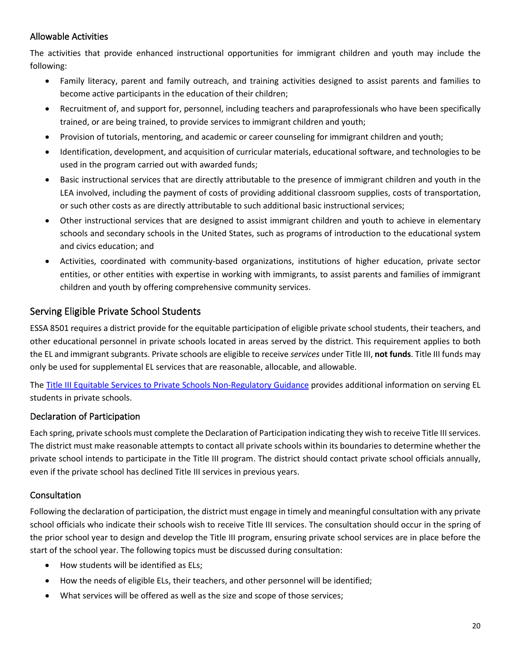## Allowable Activities

The activities that provide enhanced instructional opportunities for immigrant children and youth may include the following:

- Family literacy, parent and family outreach, and training activities designed to assist parents and families to become active participants in the education of their children;
- Recruitment of, and support for, personnel, including teachers and paraprofessionals who have been specifically trained, or are being trained, to provide services to immigrant children and youth;
- Provision of tutorials, mentoring, and academic or career counseling for immigrant children and youth;
- Identification, development, and acquisition of curricular materials, educational software, and technologies to be used in the program carried out with awarded funds;
- Basic instructional services that are directly attributable to the presence of immigrant children and youth in the LEA involved, including the payment of costs of providing additional classroom supplies, costs of transportation, or such other costs as are directly attributable to such additional basic instructional services;
- Other instructional services that are designed to assist immigrant children and youth to achieve in elementary schools and secondary schools in the United States, such as programs of introduction to the educational system and civics education; and
- Activities, coordinated with community-based organizations, institutions of higher education, private sector entities, or other entities with expertise in working with immigrants, to assist parents and families of immigrant children and youth by offering comprehensive community services.

## <span id="page-19-0"></span>Serving Eligible Private School Students

ESSA 8501 requires a district provide for the equitable participation of eligible private school students, their teachers, and other educational personnel in private schools located in areas served by the district. This requirement applies to both the EL and immigrant subgrants. Private schools are eligible to receive *services* under Title III, **not funds**. Title III funds may only be used for supplemental EL services that are reasonable, allocable, and allowable.

The [Title III Equitable Services to Private Schools Non-Regulatory Guidance](https://www2.ed.gov/about/offices/list/oii/nonpublic/titlethree.pdf) provides additional information on serving EL students in private schools.

#### Declaration of Participation

Each spring, private schools must complete the Declaration of Participation indicating they wish to receive Title III services. The district must make reasonable attempts to contact all private schools within its boundaries to determine whether the private school intends to participate in the Title III program. The district should contact private school officials annually, even if the private school has declined Title III services in previous years.

#### Consultation

Following the declaration of participation, the district must engage in timely and meaningful consultation with any private school officials who indicate their schools wish to receive Title III services. The consultation should occur in the spring of the prior school year to design and develop the Title III program, ensuring private school services are in place before the start of the school year. The following topics must be discussed during consultation:

- How students will be identified as ELs;
- How the needs of eligible ELs, their teachers, and other personnel will be identified;
- What services will be offered as well as the size and scope of those services;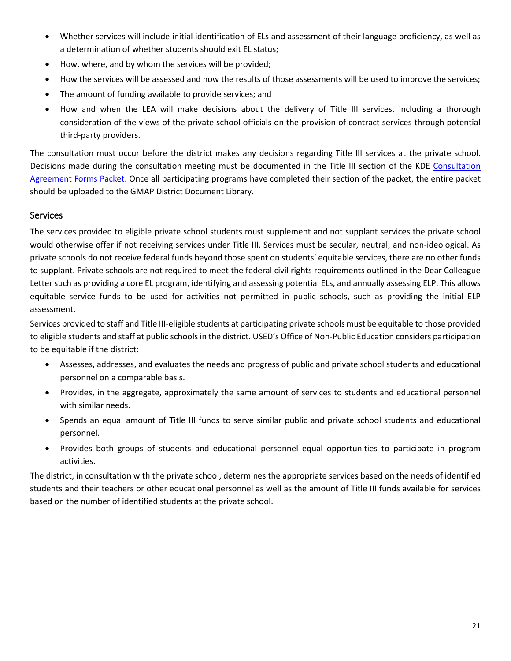- Whether services will include initial identification of ELs and assessment of their language proficiency, as well as a determination of whether students should exit EL status;
- How, where, and by whom the services will be provided;
- How the services will be assessed and how the results of those assessments will be used to improve the services;
- The amount of funding available to provide services; and
- How and when the LEA will make decisions about the delivery of Title III services, including a thorough consideration of the views of the private school officials on the provision of contract services through potential third-party providers.

The consultation must occur before the district makes any decisions regarding Title III services at the private school. Decisions made during the consultation meeting must be documented in the Title III section of the KDE [Consultation](https://education.ky.gov/federal/progs/tia/Documents/Sample%20Consultation%20Forms%20Packet%20Kentucky.pdf)  [Agreement Forms Packet.](https://education.ky.gov/federal/progs/tia/Documents/Sample%20Consultation%20Forms%20Packet%20Kentucky.pdf) Once all participating programs have completed their section of the packet, the entire packet should be uploaded to the GMAP District Document Library.

#### **Services**

The services provided to eligible private school students must supplement and not supplant services the private school would otherwise offer if not receiving services under Title III. Services must be secular, neutral, and non-ideological. As private schools do not receive federal funds beyond those spent on students' equitable services, there are no other funds to supplant. Private schools are not required to meet the federal civil rights requirements outlined in the Dear Colleague Letter such as providing a core EL program, identifying and assessing potential ELs, and annually assessing ELP. This allows equitable service funds to be used for activities not permitted in public schools, such as providing the initial ELP assessment.

Services provided to staff and Title III-eligible students at participating private schools must be equitable to those provided to eligible students and staff at public schools in the district. USED's Office of Non-Public Education considers participation to be equitable if the district:

- Assesses, addresses, and evaluates the needs and progress of public and private school students and educational personnel on a comparable basis.
- Provides, in the aggregate, approximately the same amount of services to students and educational personnel with similar needs.
- Spends an equal amount of Title III funds to serve similar public and private school students and educational personnel.
- Provides both groups of students and educational personnel equal opportunities to participate in program activities.

The district, in consultation with the private school, determines the appropriate services based on the needs of identified students and their teachers or other educational personnel as well as the amount of Title III funds available for services based on the number of identified students at the private school.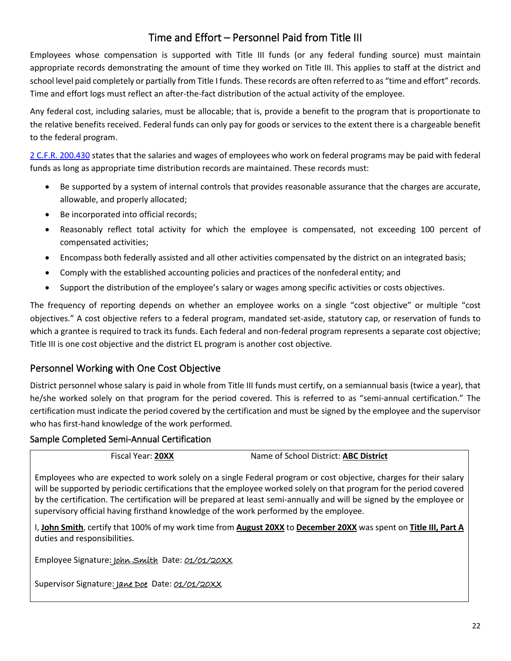# Time and Effort – Personnel Paid from Title III

<span id="page-21-0"></span>Employees whose compensation is supported with Title III funds (or any federal funding source) must maintain appropriate records demonstrating the amount of time they worked on Title III. This applies to staff at the district and school level paid completely or partially from Title I funds. These records are often referred to as "time and effort" records. Time and effort logs must reflect an after-the-fact distribution of the actual activity of the employee.

Any federal cost, including salaries, must be allocable; that is, provide a benefit to the program that is proportionate to the relative benefits received. Federal funds can only pay for goods or services to the extent there is a chargeable benefit to the federal program.

[2 C.F.R. 200.430](https://www.ecfr.gov/cgi-bin/text-idx?node=se2.1.200_1430&rgn=div8) states that the salaries and wages of employees who work on federal programs may be paid with federal funds as long as appropriate time distribution records are maintained. These records must:

- Be supported by a system of internal controls that provides reasonable assurance that the charges are accurate, allowable, and properly allocated;
- Be incorporated into official records;
- Reasonably reflect total activity for which the employee is compensated, not exceeding 100 percent of compensated activities;
- Encompass both federally assisted and all other activities compensated by the district on an integrated basis;
- Comply with the established accounting policies and practices of the nonfederal entity; and
- Support the distribution of the employee's salary or wages among specific activities or costs objectives.

The frequency of reporting depends on whether an employee works on a single "cost objective" or multiple "cost objectives." A cost objective refers to a federal program, mandated set-aside, statutory cap, or reservation of funds to which a grantee is required to track its funds. Each federal and non-federal program represents a separate cost objective; Title III is one cost objective and the district EL program is another cost objective.

# <span id="page-21-1"></span>Personnel Working with One Cost Objective

District personnel whose salary is paid in whole from Title III funds must certify, on a semiannual basis (twice a year), that he/she worked solely on that program for the period covered. This is referred to as "semi-annual certification." The certification must indicate the period covered by the certification and must be signed by the employee and the supervisor who has first-hand knowledge of the work performed.

#### Sample Completed Semi-Annual Certification

Fiscal Year: **20XX** Name of School District: **ABC District**

Employees who are expected to work solely on a single Federal program or cost objective, charges for their salary will be supported by periodic certifications that the employee worked solely on that program for the period covered by the certification. The certification will be prepared at least semi-annually and will be signed by the employee or supervisory official having firsthand knowledge of the work performed by the employee.

I, **John Smith**, certify that 100% of my work time from **August 20XX** to **December 20XX** was spent on **Title III, Part A** duties and responsibilities.

Employee Signature: John Smith Date: 01/01/20XX

Supervisor Signature: Jane Doe Date: 01/01/20XX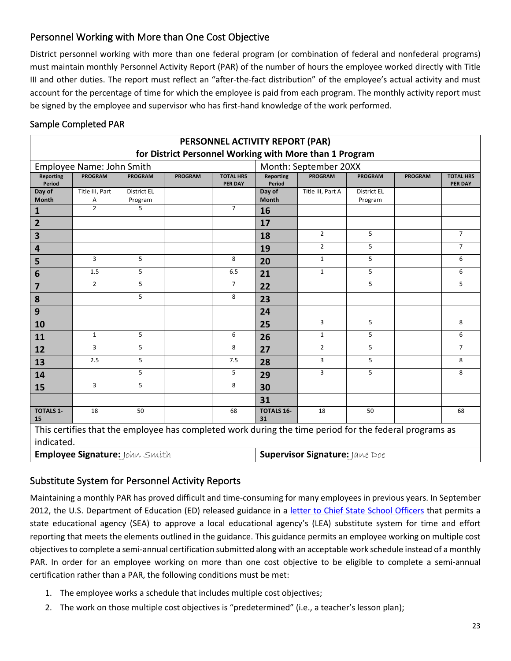# <span id="page-22-0"></span>Personnel Working with More than One Cost Objective

District personnel working with more than one federal program (or combination of federal and nonfederal programs) must maintain monthly Personnel Activity Report (PAR) of the number of hours the employee worked directly with Title III and other duties. The report must reflect an "after-the-fact distribution" of the employee's actual activity and must account for the percentage of time for which the employee is paid from each program. The monthly activity report must be signed by the employee and supervisor who has first-hand knowledge of the work performed.

## Sample Completed PAR

| PERSONNEL ACTIVITY REPORT (PAR)                                                                                      |                           |                               |                |                                    |                            |                       |                        |                |                                    |
|----------------------------------------------------------------------------------------------------------------------|---------------------------|-------------------------------|----------------|------------------------------------|----------------------------|-----------------------|------------------------|----------------|------------------------------------|
| for District Personnel Working with More than 1 Program                                                              |                           |                               |                |                                    |                            |                       |                        |                |                                    |
|                                                                                                                      | Employee Name: John Smith |                               |                |                                    |                            | Month: September 20XX |                        |                |                                    |
| <b>Reporting</b><br>Period                                                                                           | <b>PROGRAM</b>            | <b>PROGRAM</b>                | <b>PROGRAM</b> | <b>TOTAL HRS</b><br><b>PER DAY</b> | <b>Reporting</b><br>Period | <b>PROGRAM</b>        | <b>PROGRAM</b>         | <b>PROGRAM</b> | <b>TOTAL HRS</b><br><b>PER DAY</b> |
| Day of<br><b>Month</b>                                                                                               | Title III, Part<br>Α      | <b>District EL</b><br>Program |                |                                    | Day of<br>Month            | Title III, Part A     | District EL<br>Program |                |                                    |
| 1                                                                                                                    | $\overline{2}$            | 5                             |                | $7^{\circ}$                        | 16                         |                       |                        |                |                                    |
| $\overline{2}$                                                                                                       |                           |                               |                |                                    | 17                         |                       |                        |                |                                    |
| 3                                                                                                                    |                           |                               |                |                                    | 18                         | $\overline{2}$        | 5                      |                | $\overline{7}$                     |
| 4                                                                                                                    |                           |                               |                |                                    | 19                         | $\overline{2}$        | 5                      |                | $\overline{7}$                     |
| 5                                                                                                                    | 3                         | 5                             |                | 8                                  | 20                         | $\mathbf{1}$          | 5                      |                | 6                                  |
| 6                                                                                                                    | 1.5                       | 5                             |                | 6.5                                | 21                         | $\mathbf{1}$          | 5                      |                | 6                                  |
| $\overline{7}$                                                                                                       | $\overline{2}$            | 5                             |                | $\overline{7}$                     | 22                         |                       | 5                      |                | 5                                  |
| 8                                                                                                                    |                           | 5                             |                | 8                                  | 23                         |                       |                        |                |                                    |
| 9                                                                                                                    |                           |                               |                |                                    | 24                         |                       |                        |                |                                    |
| 10                                                                                                                   |                           |                               |                |                                    | 25                         | 3                     | 5                      |                | 8                                  |
| 11                                                                                                                   | $\mathbf{1}$              | 5                             |                | 6                                  | 26                         | $\mathbf{1}$          | 5                      |                | 6                                  |
| 12                                                                                                                   | 3                         | 5                             |                | 8                                  | 27                         | $\overline{2}$        | 5                      |                | $\overline{7}$                     |
| 13                                                                                                                   | 2.5                       | 5                             |                | 7.5                                | 28                         | 3                     | 5                      |                | 8                                  |
| 14                                                                                                                   |                           | 5                             |                | 5                                  | 29                         | 3                     | 5                      |                | 8                                  |
| 15                                                                                                                   | 3                         | 5                             |                | 8                                  | 30                         |                       |                        |                |                                    |
|                                                                                                                      |                           |                               |                |                                    | 31                         |                       |                        |                |                                    |
| <b>TOTALS 1-</b><br>15                                                                                               | 18                        | 50                            |                | 68                                 | <b>TOTALS 16-</b><br>31    | 18                    | 50                     |                | 68                                 |
| This certifies that the employee has completed work during the time period for the federal programs as<br>indicated. |                           |                               |                |                                    |                            |                       |                        |                |                                    |
| Employee Signature: John Smith<br>Supervisor Signature: Jane Doe                                                     |                           |                               |                |                                    |                            |                       |                        |                |                                    |

# <span id="page-22-1"></span>Substitute System for Personnel Activity Reports

Maintaining a monthly PAR has proved difficult and time-consuming for many employees in previous years. In September 2012, the U.S. Department of Education (ED) released guidance in a letter [to Chief State School Officers](https://www2.ed.gov/policy/fund/guid/gposbul/time-and-effort-reporting.html) that permits a state educational agency (SEA) to approve a local educational agency's (LEA) substitute system for time and effort reporting that meets the elements outlined in the guidance. This guidance permits an employee working on multiple cost objectives to complete a semi-annual certification submitted along with an acceptable work schedule instead of a monthly PAR. In order for an employee working on more than one cost objective to be eligible to complete a semi-annual certification rather than a PAR, the following conditions must be met:

- 1. The employee works a schedule that includes multiple cost objectives;
- 2. The work on those multiple cost objectives is "predetermined" (i.e., a teacher's lesson plan);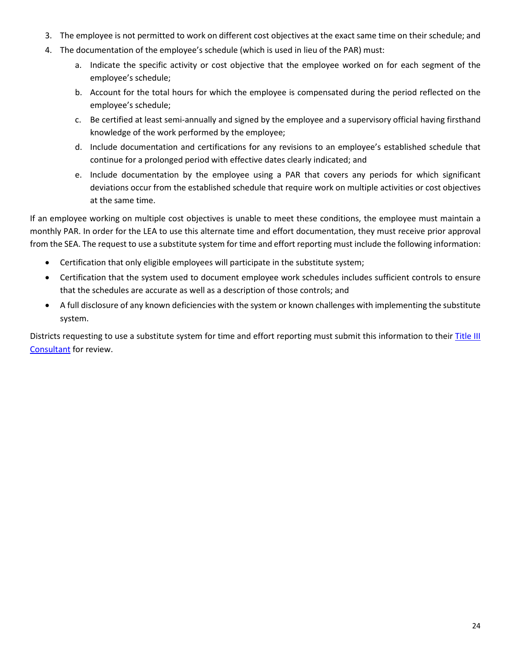- 3. The employee is not permitted to work on different cost objectives at the exact same time on their schedule; and
- 4. The documentation of the employee's schedule (which is used in lieu of the PAR) must:
	- a. Indicate the specific activity or cost objective that the employee worked on for each segment of the employee's schedule;
	- b. Account for the total hours for which the employee is compensated during the period reflected on the employee's schedule;
	- c. Be certified at least semi-annually and signed by the employee and a supervisory official having firsthand knowledge of the work performed by the employee;
	- d. Include documentation and certifications for any revisions to an employee's established schedule that continue for a prolonged period with effective dates clearly indicated; and
	- e. Include documentation by the employee using a PAR that covers any periods for which significant deviations occur from the established schedule that require work on multiple activities or cost objectives at the same time.

If an employee working on multiple cost objectives is unable to meet these conditions, the employee must maintain a monthly PAR. In order for the LEA to use this alternate time and effort documentation, they must receive prior approval from the SEA. The request to use a substitute system for time and effort reporting must include the following information:

- Certification that only eligible employees will participate in the substitute system;
- Certification that the system used to document employee work schedules includes sufficient controls to ensure that the schedules are accurate as well as a description of those controls; and
- A full disclosure of any known deficiencies with the system or known challenges with implementing the substitute system.

<span id="page-23-0"></span>Districts requesting to use a substitute system for time and effort reporting must submit this information to their [Title III](https://education.ky.gov/federal/progs/eng/Documents/Title%20III%20Program%20Consultant%20List%20by%20District.pdf) [Consultant](https://education.ky.gov/federal/progs/eng/Documents/Title%20III%20Program%20Consultant%20List%20by%20District.pdf) for review.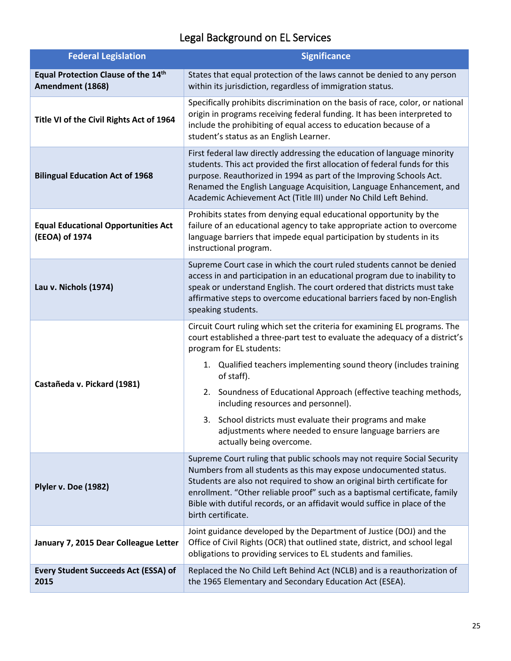# Legal Background on EL Services

<span id="page-24-0"></span>

| <b>Federal Legislation</b>                                   | <b>Significance</b>                                                                                                                                                                                                                                                                                                                                                                                        |  |  |
|--------------------------------------------------------------|------------------------------------------------------------------------------------------------------------------------------------------------------------------------------------------------------------------------------------------------------------------------------------------------------------------------------------------------------------------------------------------------------------|--|--|
| Equal Protection Clause of the 14th<br>Amendment (1868)      | States that equal protection of the laws cannot be denied to any person<br>within its jurisdiction, regardless of immigration status.                                                                                                                                                                                                                                                                      |  |  |
| Title VI of the Civil Rights Act of 1964                     | Specifically prohibits discrimination on the basis of race, color, or national<br>origin in programs receiving federal funding. It has been interpreted to<br>include the prohibiting of equal access to education because of a<br>student's status as an English Learner.                                                                                                                                 |  |  |
| <b>Bilingual Education Act of 1968</b>                       | First federal law directly addressing the education of language minority<br>students. This act provided the first allocation of federal funds for this<br>purpose. Reauthorized in 1994 as part of the Improving Schools Act.<br>Renamed the English Language Acquisition, Language Enhancement, and<br>Academic Achievement Act (Title III) under No Child Left Behind.                                   |  |  |
| <b>Equal Educational Opportunities Act</b><br>(EEOA) of 1974 | Prohibits states from denying equal educational opportunity by the<br>failure of an educational agency to take appropriate action to overcome<br>language barriers that impede equal participation by students in its<br>instructional program.                                                                                                                                                            |  |  |
| Lau v. Nichols (1974)                                        | Supreme Court case in which the court ruled students cannot be denied<br>access in and participation in an educational program due to inability to<br>speak or understand English. The court ordered that districts must take<br>affirmative steps to overcome educational barriers faced by non-English<br>speaking students.                                                                             |  |  |
|                                                              | Circuit Court ruling which set the criteria for examining EL programs. The<br>court established a three-part test to evaluate the adequacy of a district's<br>program for EL students:<br>1. Qualified teachers implementing sound theory (includes training                                                                                                                                               |  |  |
| Castañeda v. Pickard (1981)                                  | of staff).<br>Soundness of Educational Approach (effective teaching methods,<br>2.<br>including resources and personnel).                                                                                                                                                                                                                                                                                  |  |  |
|                                                              | 3. School districts must evaluate their programs and make<br>adjustments where needed to ensure language barriers are<br>actually being overcome.                                                                                                                                                                                                                                                          |  |  |
| Plyler v. Doe (1982)                                         | Supreme Court ruling that public schools may not require Social Security<br>Numbers from all students as this may expose undocumented status.<br>Students are also not required to show an original birth certificate for<br>enrollment. "Other reliable proof" such as a baptismal certificate, family<br>Bible with dutiful records, or an affidavit would suffice in place of the<br>birth certificate. |  |  |
| January 7, 2015 Dear Colleague Letter                        | Joint guidance developed by the Department of Justice (DOJ) and the<br>Office of Civil Rights (OCR) that outlined state, district, and school legal<br>obligations to providing services to EL students and families.                                                                                                                                                                                      |  |  |
| <b>Every Student Succeeds Act (ESSA) of</b><br>2015          | Replaced the No Child Left Behind Act (NCLB) and is a reauthorization of<br>the 1965 Elementary and Secondary Education Act (ESEA).                                                                                                                                                                                                                                                                        |  |  |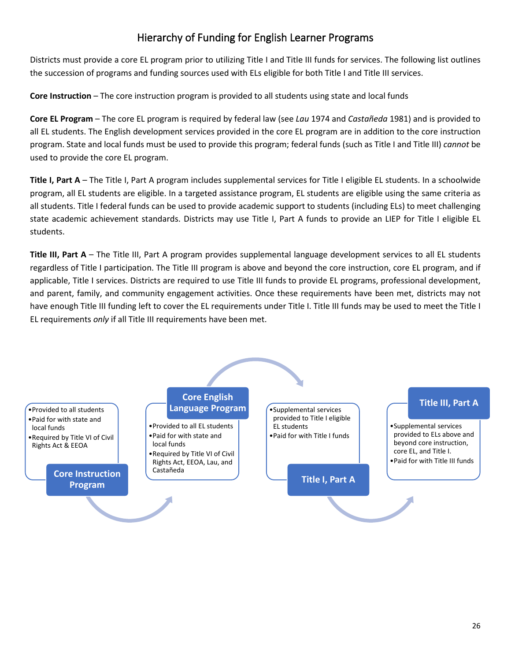# Hierarchy of Funding for English Learner Programs

<span id="page-25-0"></span>Districts must provide a core EL program prior to utilizing Title I and Title III funds for services. The following list outlines the succession of programs and funding sources used with ELs eligible for both Title I and Title III services.

**Core Instruction** – The core instruction program is provided to all students using state and local funds

**Core EL Program** – The core EL program is required by federal law (see *Lau* 1974 and *Castañeda* 1981) and is provided to all EL students. The English development services provided in the core EL program are in addition to the core instruction program. State and local funds must be used to provide this program; federal funds (such as Title I and Title III) *cannot* be used to provide the core EL program.

**Title I, Part A** – The Title I, Part A program includes supplemental services for Title I eligible EL students. In a schoolwide program, all EL students are eligible. In a targeted assistance program, EL students are eligible using the same criteria as all students. Title I federal funds can be used to provide academic support to students (including ELs) to meet challenging state academic achievement standards. Districts may use Title I, Part A funds to provide an LIEP for Title I eligible EL students.

**Title III, Part A** – The Title III, Part A program provides supplemental language development services to all EL students regardless of Title I participation. The Title III program is above and beyond the core instruction, core EL program, and if applicable, Title I services. Districts are required to use Title III funds to provide EL programs, professional development, and parent, family, and community engagement activities. Once these requirements have been met, districts may not have enough Title III funding left to cover the EL requirements under Title I. Title III funds may be used to meet the Title I EL requirements *only* if all Title III requirements have been met.

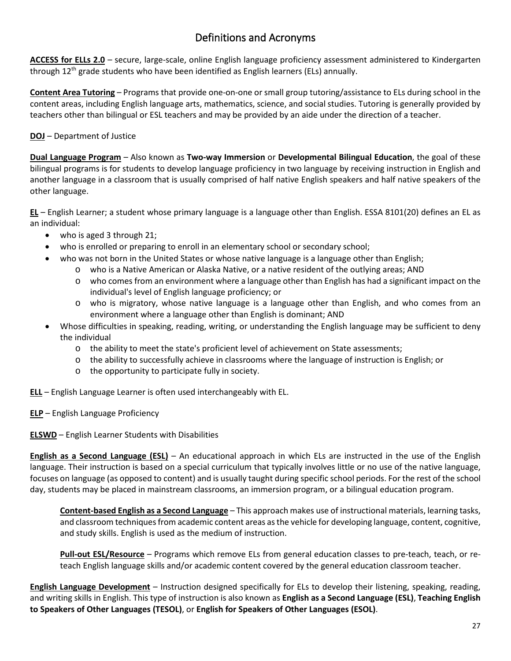# Definitions and Acronyms

<span id="page-26-0"></span>**ACCESS for ELLs 2.0** – secure, large-scale, online English language proficiency assessment administered to Kindergarten through  $12<sup>th</sup>$  grade students who have been identified as English learners (ELs) annually.

**Content Area Tutoring** – Programs that provide one-on-one or small group tutoring/assistance to ELs during school in the content areas, including English language arts, mathematics, science, and social studies. Tutoring is generally provided by teachers other than bilingual or ESL teachers and may be provided by an aide under the direction of a teacher.

#### **DOJ** – Department of Justice

**Dual Language Program** – Also known as **Two-way Immersion** or **Developmental Bilingual Education**, the goal of these bilingual programs is for students to develop language proficiency in two language by receiving instruction in English and another language in a classroom that is usually comprised of half native English speakers and half native speakers of the other language.

**EL** – English Learner; a student whose primary language is a language other than English. ESSA 8101(20) defines an EL as an individual:

- who is aged 3 through 21;
- who is enrolled or preparing to enroll in an elementary school or secondary school;
	- who was not born in the United States or whose native language is a language other than English;
		- o who is a Native American or Alaska Native, or a native resident of the outlying areas; AND
		- $\circ$  who comes from an environment where a language other than English has had a significant impact on the individual's level of English language proficiency; or
		- o who is migratory, whose native language is a language other than English, and who comes from an environment where a language other than English is dominant; AND
- Whose difficulties in speaking, reading, writing, or understanding the English language may be sufficient to deny the individual
	- o the ability to meet the state's proficient level of achievement on State assessments;
	- o the ability to successfully achieve in classrooms where the language of instruction is English; or
	- o the opportunity to participate fully in society.

**ELL** – English Language Learner is often used interchangeably with EL.

**ELP** – English Language Proficiency

# **ELSWD** – English Learner Students with Disabilities

**English as a Second Language (ESL)** – An educational approach in which ELs are instructed in the use of the English language. Their instruction is based on a special curriculum that typically involves little or no use of the native language, focuses on language (as opposed to content) and is usually taught during specific school periods. For the rest of the school day, students may be placed in mainstream classrooms, an immersion program, or a bilingual education program.

**Content-based English as a Second Language** – This approach makes use of instructional materials, learning tasks, and classroom techniques from academic content areas as the vehicle for developing language, content, cognitive, and study skills. English is used as the medium of instruction.

**Pull-out ESL/Resource** – Programs which remove ELs from general education classes to pre-teach, teach, or reteach English language skills and/or academic content covered by the general education classroom teacher.

**English Language Development** – Instruction designed specifically for ELs to develop their listening, speaking, reading, and writing skills in English. This type of instruction is also known as **English as a Second Language (ESL)**, **Teaching English to Speakers of Other Languages (TESOL)**, or **English for Speakers of Other Languages (ESOL)**.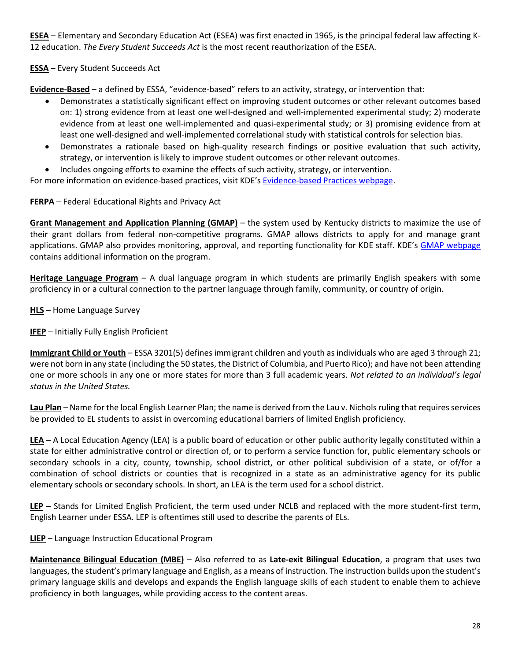**ESEA** – Elementary and Secondary Education Act (ESEA) was first enacted in 1965, is the principal federal law affecting K-12 education. *The Every Student Succeeds Act* is the most recent reauthorization of the ESEA.

#### **ESSA** – Every Student Succeeds Act

**Evidence-Based** – a defined by ESSA, "evidence-based" refers to an activity, strategy, or intervention that:

- Demonstrates a statistically significant effect on improving student outcomes or other relevant outcomes based on: 1) strong evidence from at least one well-designed and well-implemented experimental study; 2) moderate evidence from at least one well-implemented and quasi-experimental study; or 3) promising evidence from at least one well-designed and well-implemented correlational study with statistical controls for selection bias.
- Demonstrates a rationale based on high-quality research findings or positive evaluation that such activity, strategy, or intervention is likely to improve student outcomes or other relevant outcomes.
- Includes ongoing efforts to examine the effects of such activity, strategy, or intervention.

For more information on evidence-based practices, visit KDE's [Evidence-based Practices webpage.](https://education.ky.gov/school/evidence/Pages/default.aspx)

#### **FERPA** – Federal Educational Rights and Privacy Act

**Grant Management and Application Planning (GMAP)** – the system used by Kentucky districts to maximize the use of their grant dollars from federal non-competitive programs. GMAP allows districts to apply for and manage grant applications. GMAP also provides monitoring, approval, and reporting functionality for KDE staff. KDE's [GMAP webpage](https://education.ky.gov/districts/fin/Pages/Grant-Management,-Application,-and-Planning-(GMAP).aspx) contains additional information on the program.

**Heritage Language Program** – A dual language program in which students are primarily English speakers with some proficiency in or a cultural connection to the partner language through family, community, or country of origin.

#### **HLS** – Home Language Survey

#### **IFEP** – Initially Fully English Proficient

**Immigrant Child or Youth** – ESSA 3201(5) defines immigrant children and youth as individuals who are aged 3 through 21; were not born in any state (including the 50 states, the District of Columbia, and Puerto Rico); and have not been attending one or more schools in any one or more states for more than 3 full academic years. *Not related to an individual's legal status in the United States.*

**Lau Plan** – Name for the local English Learner Plan; the name is derived from the Lau v. Nichols ruling that requires services be provided to EL students to assist in overcoming educational barriers of limited English proficiency.

**LEA** – A Local Education Agency (LEA) is a public board of education or other public authority legally constituted within a state for either administrative control or direction of, or to perform a service function for, public elementary schools or secondary schools in a city, county, township, school district, or other political subdivision of a state, or of/for a combination of school districts or counties that is recognized in a state as an administrative agency for its public elementary schools or secondary schools. In short, an LEA is the term used for a school district.

**LEP** – Stands for Limited English Proficient, the term used under NCLB and replaced with the more student-first term, English Learner under ESSA. LEP is oftentimes still used to describe the parents of ELs.

#### **LIEP** – Language Instruction Educational Program

**Maintenance Bilingual Education (MBE)** – Also referred to as **Late-exit Bilingual Education**, a program that uses two languages, the student's primary language and English, as a means of instruction. The instruction builds upon the student's primary language skills and develops and expands the English language skills of each student to enable them to achieve proficiency in both languages, while providing access to the content areas.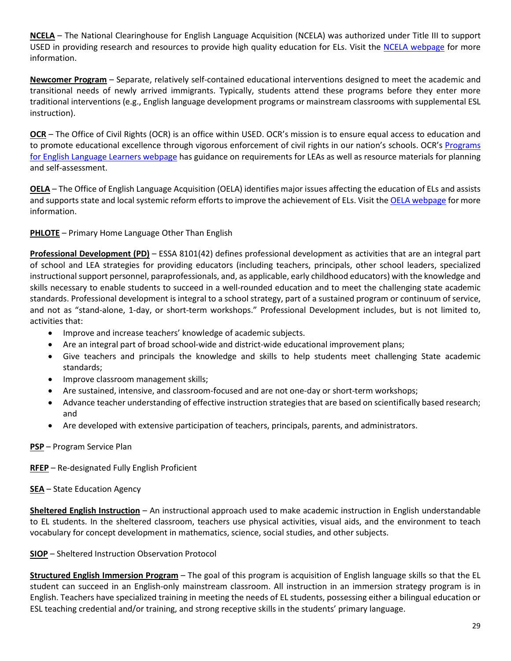**NCELA** – The National Clearinghouse for English Language Acquisition (NCELA) was authorized under Title III to support USED in providing research and resources to provide high quality education for ELs. Visit the [NCELA webpage](https://ncela.ed.gov/) for more information.

**Newcomer Program** – Separate, relatively self-contained educational interventions designed to meet the academic and transitional needs of newly arrived immigrants. Typically, students attend these programs before they enter more traditional interventions (e.g., English language development programs or mainstream classrooms with supplemental ESL instruction).

**OCR** – The Office of Civil Rights (OCR) is an office within USED. OCR's mission is to ensure equal access to education and to promote educational excellence through vigorous enforcement of civil rights in our nation's schools. OCR's [Programs](https://www2.ed.gov/about/offices/list/ocr/ell/index.html)  [for English Language Learners webpage](https://www2.ed.gov/about/offices/list/ocr/ell/index.html) has guidance on requirements for LEAs as well as resource materials for planning and self-assessment.

**OELA** – The Office of English Language Acquisition (OELA) identifies major issues affecting the education of ELs and assists and supports state and local systemic reform efforts to improve the achievement of ELs. Visit the [OELA webpage](https://www2.ed.gov/about/offices/list/oela/index.html) for more information.

**PHLOTE** – Primary Home Language Other Than English

**Professional Development (PD)** – ESSA 8101(42) defines professional development as activities that are an integral part of school and LEA strategies for providing educators (including teachers, principals, other school leaders, specialized instructional support personnel, paraprofessionals, and, as applicable, early childhood educators) with the knowledge and skills necessary to enable students to succeed in a well-rounded education and to meet the challenging state academic standards. Professional development is integral to a school strategy, part of a sustained program or continuum of service, and not as "stand-alone, 1-day, or short-term workshops." Professional Development includes, but is not limited to, activities that:

- Improve and increase teachers' knowledge of academic subjects.
- Are an integral part of broad school-wide and district-wide educational improvement plans;
- Give teachers and principals the knowledge and skills to help students meet challenging State academic standards;
- Improve classroom management skills;
- Are sustained, intensive, and classroom-focused and are not one-day or short-term workshops;
- Advance teacher understanding of effective instruction strategies that are based on scientifically based research; and
- Are developed with extensive participation of teachers, principals, parents, and administrators.

#### **PSP** – Program Service Plan

#### **RFEP** – Re-designated Fully English Proficient

#### **SEA** – State Education Agency

**Sheltered English Instruction** – An instructional approach used to make academic instruction in English understandable to EL students. In the sheltered classroom, teachers use physical activities, visual aids, and the environment to teach vocabulary for concept development in mathematics, science, social studies, and other subjects.

#### **SIOP** – Sheltered Instruction Observation Protocol

**Structured English Immersion Program** – The goal of this program is acquisition of English language skills so that the EL student can succeed in an English-only mainstream classroom. All instruction in an immersion strategy program is in English. Teachers have specialized training in meeting the needs of EL students, possessing either a bilingual education or ESL teaching credential and/or training, and strong receptive skills in the students' primary language.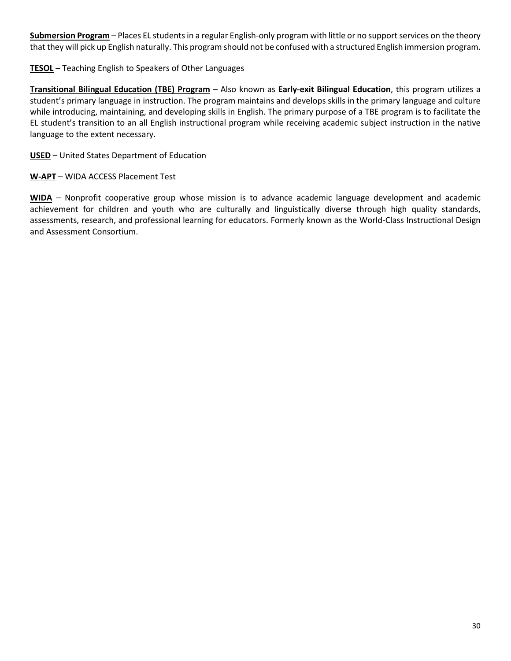**Submersion Program** – Places EL students in a regular English-only program with little or no support services on the theory that they will pick up English naturally. This program should not be confused with a structured English immersion program.

#### **TESOL** – Teaching English to Speakers of Other Languages

**Transitional Bilingual Education (TBE) Program** – Also known as **Early-exit Bilingual Education**, this program utilizes a student's primary language in instruction. The program maintains and develops skills in the primary language and culture while introducing, maintaining, and developing skills in English. The primary purpose of a TBE program is to facilitate the EL student's transition to an all English instructional program while receiving academic subject instruction in the native language to the extent necessary.

#### **USED** – United States Department of Education

#### **W-APT** – WIDA ACCESS Placement Test

**WIDA** – Nonprofit cooperative group whose mission is to advance academic language development and academic achievement for children and youth who are culturally and linguistically diverse through high quality standards, assessments, research, and professional learning for educators. Formerly known as the World-Class Instructional Design and Assessment Consortium.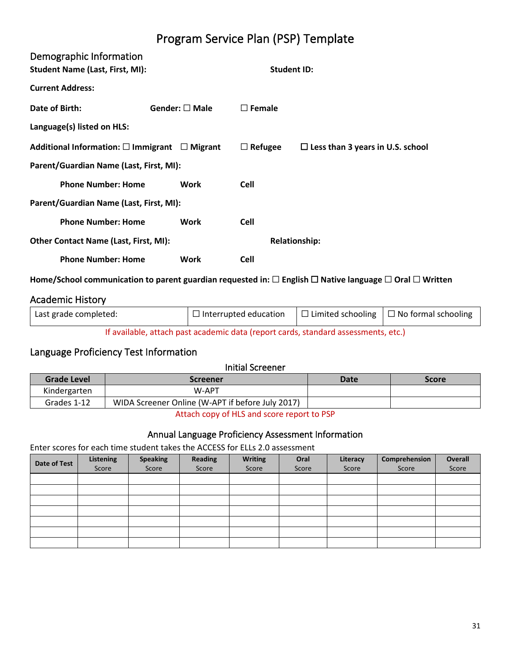# Program Service Plan (PSP) Template

<span id="page-30-1"></span><span id="page-30-0"></span>

| Demographic Information<br><b>Student Name (Last, First, MI):</b> |                        |                  | <b>Student ID:</b>   |                                         |
|-------------------------------------------------------------------|------------------------|------------------|----------------------|-----------------------------------------|
| <b>Current Address:</b>                                           |                        |                  |                      |                                         |
| Date of Birth:                                                    | Gender: $\square$ Male | $\square$ Female |                      |                                         |
| Language(s) listed on HLS:                                        |                        |                  |                      |                                         |
| Additional Information: $\square$ Immigrant $\square$ Migrant     |                        | $\Box$ Refugee   |                      | $\Box$ Less than 3 years in U.S. school |
| Parent/Guardian Name (Last, First, MI):                           |                        |                  |                      |                                         |
| <b>Phone Number: Home</b>                                         | Work                   | <b>Cell</b>      |                      |                                         |
| Parent/Guardian Name (Last, First, MI):                           |                        |                  |                      |                                         |
| <b>Phone Number: Home</b>                                         | Work                   | <b>Cell</b>      |                      |                                         |
| <b>Other Contact Name (Last, First, MI):</b>                      |                        |                  | <b>Relationship:</b> |                                         |
| <b>Phone Number: Home</b>                                         | Work                   | <b>Cell</b>      |                      |                                         |

**Home/School communication to parent guardian requested in:** ☐ **English** ☐ **Native language** ☐ **Oral** ☐ **Written**

#### <span id="page-30-2"></span>Academic History

| Last grade completed:                                                              | $\Box$ Interrupted education |  | $\Box$ Limited schooling $\Box$ No formal schooling |
|------------------------------------------------------------------------------------|------------------------------|--|-----------------------------------------------------|
| If available, attach past academic data (report cards, standard assessments, etc.) |                              |  |                                                     |

#### <span id="page-30-3"></span>Language Proficiency Test Information

# Initial Screener **Grade Level Screener Date Score** Kindergarten | W-APT Grades 1-12 WIDA Screener Online (W-APT if before July 2017)

Attach copy of HLS and score report to PSP

#### Annual Language Proficiency Assessment Information

Enter scores for each time student takes the ACCESS for ELLs 2.0 assessment

| Date of Test | Listening<br>Score | <b>Speaking</b><br>Score | Reading<br>Score | <b>Writing</b><br>Score | Oral<br>Score | Literacy<br>Score | Comprehension<br>Score | Overall<br>Score |
|--------------|--------------------|--------------------------|------------------|-------------------------|---------------|-------------------|------------------------|------------------|
|              |                    |                          |                  |                         |               |                   |                        |                  |
|              |                    |                          |                  |                         |               |                   |                        |                  |
|              |                    |                          |                  |                         |               |                   |                        |                  |
|              |                    |                          |                  |                         |               |                   |                        |                  |
|              |                    |                          |                  |                         |               |                   |                        |                  |
|              |                    |                          |                  |                         |               |                   |                        |                  |
|              |                    |                          |                  |                         |               |                   |                        |                  |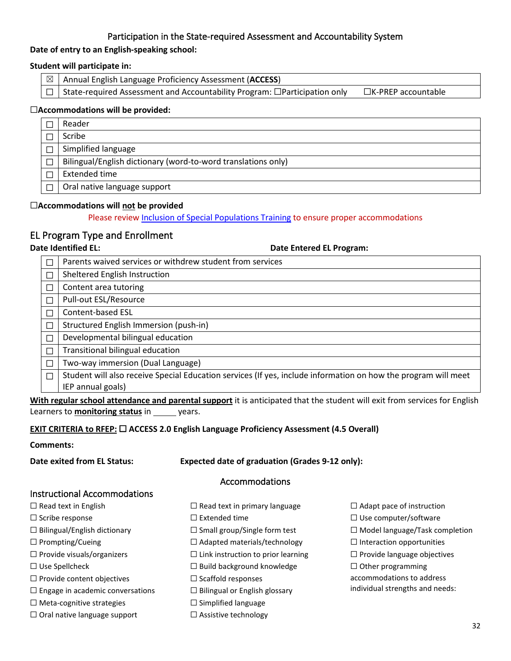#### Participation in the State-required Assessment and Accountability System

#### **Date of entry to an English-speaking school:**

#### **Student will participate in:**

| $\boxtimes$   Annual English Language Proficiency Assessment (ACCESS)                  |                           |
|----------------------------------------------------------------------------------------|---------------------------|
| $\Box$ State-required Assessment and Accountability Program: $\Box$ Participation only | $\Box$ K-PREP accountable |

#### ☐**Accommodations will be provided:**

| Reader                                                        |
|---------------------------------------------------------------|
| Scribe                                                        |
| Simplified language                                           |
| Bilingual/English dictionary (word-to-word translations only) |
| Extended time                                                 |
| Oral native language support                                  |

#### ☐**Accommodations will not be provided**

Please revie[w Inclusion of Special Populations Training](http://education.ky.gov/AA/distsupp/Pages/AdminCode.aspx) to ensure proper accommodations

#### <span id="page-31-0"></span>EL Program Type and Enrollment

**Date Identified EL: Date Entered EL Program:** 

| Parents waived services or withdrew student from services                                                      |
|----------------------------------------------------------------------------------------------------------------|
| Sheltered English Instruction                                                                                  |
| Content area tutoring                                                                                          |
| Pull-out ESL/Resource                                                                                          |
| Content-based ESL                                                                                              |
| Structured English Immersion (push-in)                                                                         |
| Developmental bilingual education                                                                              |
| Transitional bilingual education                                                                               |
| Two-way immersion (Dual Language)                                                                              |
| Student will also receive Special Education services (If yes, include information on how the program will meet |
| IEP annual goals)                                                                                              |

**With regular school attendance and parental support** it is anticipated that the student will exit from services for English Learners to **monitoring status** in years.

#### **EXIT CRITERIA to RFEP:** ☐ **ACCESS 2.0 English Language Proficiency Assessment (4.5 Overall)**

#### **Comments:**

Instructional Accommodations

**Date exited from EL Status: Expected date of graduation (Grades 9-12 only):**

#### Accommodations

| $\Box$ Read text in English             | $\Box$ Read text in primary language      | $\Box$ Adapt pace of instruction      |
|-----------------------------------------|-------------------------------------------|---------------------------------------|
| $\Box$ Scribe response                  | $\Box$ Extended time                      | $\Box$ Use computer/software          |
| $\Box$ Bilingual/English dictionary     | $\Box$ Small group/Single form test       | $\Box$ Model language/Task completion |
| $\Box$ Prompting/Cueing                 | $\Box$ Adapted materials/technology       | $\Box$ Interaction opportunities      |
| $\Box$ Provide visuals/organizers       | $\Box$ Link instruction to prior learning | $\Box$ Provide language objectives    |
| $\Box$ Use Spellcheck                   | $\Box$ Build background knowledge         | $\Box$ Other programming              |
| $\Box$ Provide content objectives       | $\Box$ Scaffold responses                 | accommodations to address             |
| $\Box$ Engage in academic conversations | $\Box$ Bilingual or English glossary      | individual strengths and needs:       |
| $\Box$ Meta-cognitive strategies        | $\Box$ Simplified language                |                                       |
| $\Box$ Oral native language support     | $\Box$ Assistive technology               |                                       |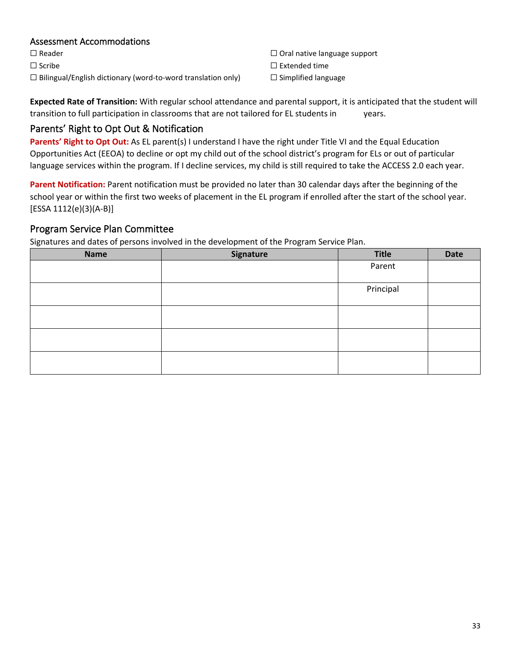#### Assessment Accommodations

☐ Reader ☐ Scribe ☐ Bilingual/English dictionary (word-to-word translation only) ☐ Oral native language support

- ☐ Extended time
- ☐ Simplified language

**Expected Rate of Transition:** With regular school attendance and parental support, it is anticipated that the student will transition to full participation in classrooms that are not tailored for EL students in years.

## <span id="page-32-0"></span>Parents' Right to Opt Out & Notification

Parents' Right to Opt Out: As EL parent(s) I understand I have the right under Title VI and the Equal Education Opportunities Act (EEOA) to decline or opt my child out of the school district's program for ELs or out of particular language services within the program. If I decline services, my child is still required to take the ACCESS 2.0 each year.

**Parent Notification:** Parent notification must be provided no later than 30 calendar days after the beginning of the school year or within the first two weeks of placement in the EL program if enrolled after the start of the school year. [ESSA 1112(e)(3)(A-B)]

## <span id="page-32-1"></span>Program Service Plan Committee

Signatures and dates of persons involved in the development of the Program Service Plan.

| <b>Name</b> | Signature | Title     | Date |
|-------------|-----------|-----------|------|
|             |           | Parent    |      |
|             |           |           |      |
|             |           | Principal |      |
|             |           |           |      |
|             |           |           |      |
|             |           |           |      |
|             |           |           |      |
|             |           |           |      |
|             |           |           |      |
|             |           |           |      |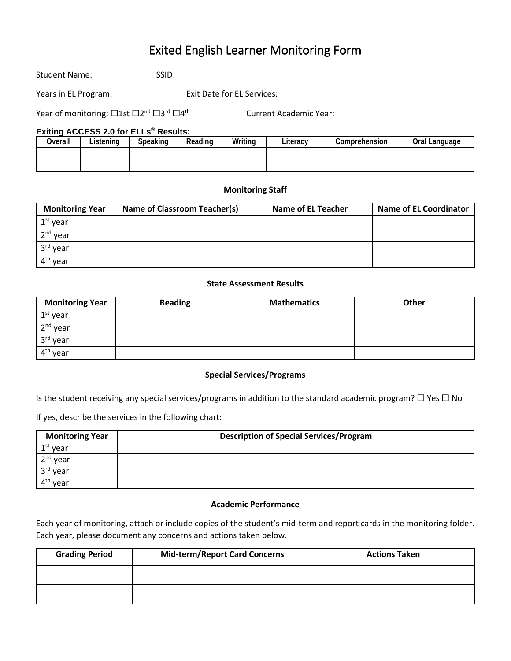# Exited English Learner Monitoring Form

<span id="page-33-0"></span>Student Name: SSID:

Years in EL Program: Exit Date for EL Services:

Year of monitoring: □1st □2<sup>nd</sup> □3<sup>rd</sup> □4<sup>th</sup> Current Academic Year:

#### **Exiting ACCESS 2.0 for ELLs® Results:**

| Overall | Listenina | Speaking | Reading | Writing | Literacv | Comprehension | Oral Language |
|---------|-----------|----------|---------|---------|----------|---------------|---------------|
|         |           |          |         |         |          |               |               |
|         |           |          |         |         |          |               |               |

#### **Monitoring Staff**

| <b>Monitoring Year</b> | Name of Classroom Teacher(s) | Name of EL Teacher | <b>Name of EL Coordinator</b> |
|------------------------|------------------------------|--------------------|-------------------------------|
| $1st$ year             |                              |                    |                               |
| $2nd$ year             |                              |                    |                               |
| 3 <sup>rd</sup> year   |                              |                    |                               |
| 4 <sup>th</sup> year   |                              |                    |                               |

#### **State Assessment Results**

| <b>Monitoring Year</b> | <b>Reading</b> | <b>Mathematics</b> | <b>Other</b> |
|------------------------|----------------|--------------------|--------------|
| $1st$ year             |                |                    |              |
| 2 <sup>nd</sup> year   |                |                    |              |
| 3rd year               |                |                    |              |
| 4 <sup>th</sup> year   |                |                    |              |

#### **Special Services/Programs**

Is the student receiving any special services/programs in addition to the standard academic program? ☐ Yes ☐ No

If yes, describe the services in the following chart:

| <b>Monitoring Year</b>  | <b>Description of Special Services/Program</b> |
|-------------------------|------------------------------------------------|
| $1st$ year              |                                                |
| 2 <sup>nd</sup> year    |                                                |
| 3rd year                |                                                |
| $A^{\text{th}}$<br>vear |                                                |

#### **Academic Performance**

Each year of monitoring, attach or include copies of the student's mid-term and report cards in the monitoring folder. Each year, please document any concerns and actions taken below.

| <b>Grading Period</b> | <b>Mid-term/Report Card Concerns</b> | <b>Actions Taken</b> |
|-----------------------|--------------------------------------|----------------------|
|                       |                                      |                      |
|                       |                                      |                      |